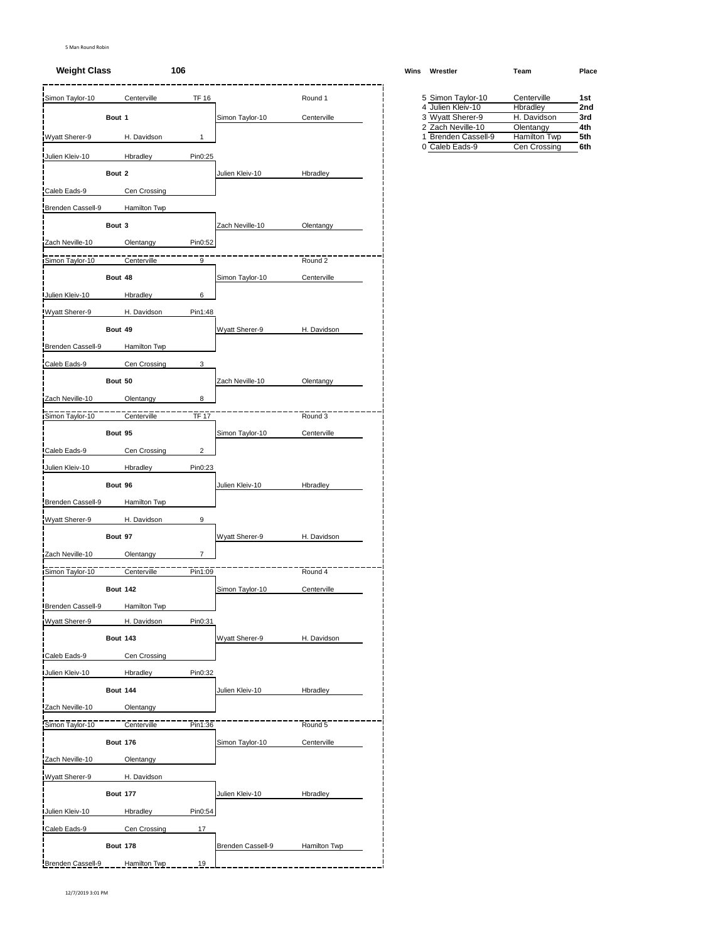# **Weight Class 106 Wins Wrestler Team Place**

| Bout 1<br>Bout 2<br>Bout 3<br>Bout 48<br>Bout 49<br>Bout 50<br>Bout 95<br>Bout 96 | H. Davidson<br>Hbradley<br>Cen Crossing<br>Hamilton Twp<br>Olentangy<br>Centerville<br><b>Hbradley</b><br>H. Davidson<br>Hamilton Twp<br>Cen Crossing<br>Olentangy<br>Centerville<br>Cen Crossing<br>Hbradley | 1<br>Pin0:25<br>Pin0:52<br>9<br>6<br>Pin1:48<br>3<br>8<br>TF 17<br>$\overline{2}$<br>Pin0:23                                                                                                                                                                                                              | Simon Taylor-10<br>Julien Kleiv-10<br>Zach Neville-10<br>Simon Taylor-10<br>Wyatt Sherer-9<br>Zach Neville-10<br>Simon Taylor-10 | Centerville<br>Hbradley<br>Olentangy<br>Round 2<br>Centerville<br>H. Davidson<br>Olentangy<br>Round 3<br>Centerville |                                         | 4 Julien Kleiv-10<br>3 Wyatt Sherer-9<br>2 Zach Neville-10<br>1 Brenden Cassell-9<br>0 Caleb Eads-9 | Hbradley<br>H. Davidson<br>Olentangy<br><b>Hamilton Twp</b><br>Cen Crossing | 2n<br>3rd<br>4th<br>5th |
|-----------------------------------------------------------------------------------|---------------------------------------------------------------------------------------------------------------------------------------------------------------------------------------------------------------|-----------------------------------------------------------------------------------------------------------------------------------------------------------------------------------------------------------------------------------------------------------------------------------------------------------|----------------------------------------------------------------------------------------------------------------------------------|----------------------------------------------------------------------------------------------------------------------|-----------------------------------------|-----------------------------------------------------------------------------------------------------|-----------------------------------------------------------------------------|-------------------------|
|                                                                                   |                                                                                                                                                                                                               |                                                                                                                                                                                                                                                                                                           |                                                                                                                                  |                                                                                                                      |                                         |                                                                                                     |                                                                             |                         |
|                                                                                   |                                                                                                                                                                                                               |                                                                                                                                                                                                                                                                                                           |                                                                                                                                  |                                                                                                                      |                                         |                                                                                                     |                                                                             | 6th                     |
|                                                                                   |                                                                                                                                                                                                               |                                                                                                                                                                                                                                                                                                           |                                                                                                                                  |                                                                                                                      |                                         |                                                                                                     |                                                                             |                         |
|                                                                                   |                                                                                                                                                                                                               |                                                                                                                                                                                                                                                                                                           |                                                                                                                                  |                                                                                                                      |                                         |                                                                                                     |                                                                             |                         |
|                                                                                   |                                                                                                                                                                                                               |                                                                                                                                                                                                                                                                                                           |                                                                                                                                  |                                                                                                                      |                                         |                                                                                                     |                                                                             |                         |
|                                                                                   |                                                                                                                                                                                                               |                                                                                                                                                                                                                                                                                                           |                                                                                                                                  |                                                                                                                      |                                         |                                                                                                     |                                                                             |                         |
|                                                                                   |                                                                                                                                                                                                               |                                                                                                                                                                                                                                                                                                           |                                                                                                                                  |                                                                                                                      |                                         |                                                                                                     |                                                                             |                         |
|                                                                                   |                                                                                                                                                                                                               |                                                                                                                                                                                                                                                                                                           |                                                                                                                                  |                                                                                                                      |                                         |                                                                                                     |                                                                             |                         |
|                                                                                   |                                                                                                                                                                                                               |                                                                                                                                                                                                                                                                                                           |                                                                                                                                  |                                                                                                                      |                                         |                                                                                                     |                                                                             |                         |
|                                                                                   |                                                                                                                                                                                                               |                                                                                                                                                                                                                                                                                                           |                                                                                                                                  |                                                                                                                      |                                         |                                                                                                     |                                                                             |                         |
|                                                                                   |                                                                                                                                                                                                               |                                                                                                                                                                                                                                                                                                           |                                                                                                                                  |                                                                                                                      |                                         |                                                                                                     |                                                                             |                         |
|                                                                                   |                                                                                                                                                                                                               |                                                                                                                                                                                                                                                                                                           |                                                                                                                                  |                                                                                                                      |                                         |                                                                                                     |                                                                             |                         |
|                                                                                   |                                                                                                                                                                                                               |                                                                                                                                                                                                                                                                                                           |                                                                                                                                  |                                                                                                                      |                                         |                                                                                                     |                                                                             |                         |
|                                                                                   |                                                                                                                                                                                                               |                                                                                                                                                                                                                                                                                                           |                                                                                                                                  |                                                                                                                      |                                         |                                                                                                     |                                                                             |                         |
|                                                                                   |                                                                                                                                                                                                               |                                                                                                                                                                                                                                                                                                           |                                                                                                                                  |                                                                                                                      |                                         |                                                                                                     |                                                                             |                         |
|                                                                                   |                                                                                                                                                                                                               |                                                                                                                                                                                                                                                                                                           |                                                                                                                                  |                                                                                                                      |                                         |                                                                                                     |                                                                             |                         |
|                                                                                   |                                                                                                                                                                                                               |                                                                                                                                                                                                                                                                                                           |                                                                                                                                  |                                                                                                                      |                                         |                                                                                                     |                                                                             |                         |
|                                                                                   |                                                                                                                                                                                                               |                                                                                                                                                                                                                                                                                                           |                                                                                                                                  |                                                                                                                      |                                         |                                                                                                     |                                                                             |                         |
|                                                                                   |                                                                                                                                                                                                               |                                                                                                                                                                                                                                                                                                           |                                                                                                                                  |                                                                                                                      |                                         |                                                                                                     |                                                                             |                         |
|                                                                                   |                                                                                                                                                                                                               |                                                                                                                                                                                                                                                                                                           |                                                                                                                                  |                                                                                                                      |                                         |                                                                                                     |                                                                             |                         |
|                                                                                   |                                                                                                                                                                                                               |                                                                                                                                                                                                                                                                                                           |                                                                                                                                  |                                                                                                                      |                                         |                                                                                                     |                                                                             |                         |
|                                                                                   |                                                                                                                                                                                                               |                                                                                                                                                                                                                                                                                                           |                                                                                                                                  |                                                                                                                      |                                         |                                                                                                     |                                                                             |                         |
|                                                                                   |                                                                                                                                                                                                               |                                                                                                                                                                                                                                                                                                           | Julien Kleiv-10                                                                                                                  | Hbradley                                                                                                             |                                         |                                                                                                     |                                                                             |                         |
|                                                                                   | Hamilton Twp                                                                                                                                                                                                  |                                                                                                                                                                                                                                                                                                           |                                                                                                                                  |                                                                                                                      |                                         |                                                                                                     |                                                                             |                         |
|                                                                                   | H. Davidson                                                                                                                                                                                                   | 9                                                                                                                                                                                                                                                                                                         |                                                                                                                                  |                                                                                                                      |                                         |                                                                                                     |                                                                             |                         |
| Bout 97                                                                           |                                                                                                                                                                                                               |                                                                                                                                                                                                                                                                                                           | Wyatt Sherer-9                                                                                                                   | H. Davidson                                                                                                          |                                         |                                                                                                     |                                                                             |                         |
|                                                                                   |                                                                                                                                                                                                               | $\overline{7}$                                                                                                                                                                                                                                                                                            |                                                                                                                                  |                                                                                                                      |                                         |                                                                                                     |                                                                             |                         |
|                                                                                   |                                                                                                                                                                                                               | Pin1:09                                                                                                                                                                                                                                                                                                   |                                                                                                                                  | Round 4                                                                                                              |                                         |                                                                                                     |                                                                             |                         |
|                                                                                   |                                                                                                                                                                                                               |                                                                                                                                                                                                                                                                                                           | Simon Taylor-10                                                                                                                  | Centerville                                                                                                          |                                         |                                                                                                     |                                                                             |                         |
|                                                                                   |                                                                                                                                                                                                               |                                                                                                                                                                                                                                                                                                           |                                                                                                                                  |                                                                                                                      |                                         |                                                                                                     |                                                                             |                         |
|                                                                                   |                                                                                                                                                                                                               | Pin0:31                                                                                                                                                                                                                                                                                                   |                                                                                                                                  |                                                                                                                      |                                         |                                                                                                     |                                                                             |                         |
|                                                                                   |                                                                                                                                                                                                               |                                                                                                                                                                                                                                                                                                           | Wyatt Sherer-9                                                                                                                   | H. Davidson                                                                                                          |                                         |                                                                                                     |                                                                             |                         |
|                                                                                   |                                                                                                                                                                                                               |                                                                                                                                                                                                                                                                                                           |                                                                                                                                  |                                                                                                                      |                                         |                                                                                                     |                                                                             |                         |
|                                                                                   |                                                                                                                                                                                                               |                                                                                                                                                                                                                                                                                                           |                                                                                                                                  |                                                                                                                      |                                         |                                                                                                     |                                                                             |                         |
|                                                                                   |                                                                                                                                                                                                               |                                                                                                                                                                                                                                                                                                           | Julien Kleiv-10                                                                                                                  | Hbradley                                                                                                             |                                         |                                                                                                     |                                                                             |                         |
|                                                                                   |                                                                                                                                                                                                               |                                                                                                                                                                                                                                                                                                           |                                                                                                                                  |                                                                                                                      |                                         |                                                                                                     |                                                                             |                         |
|                                                                                   |                                                                                                                                                                                                               | Pin1:36                                                                                                                                                                                                                                                                                                   |                                                                                                                                  | Round 5                                                                                                              |                                         |                                                                                                     |                                                                             |                         |
|                                                                                   |                                                                                                                                                                                                               |                                                                                                                                                                                                                                                                                                           |                                                                                                                                  |                                                                                                                      |                                         |                                                                                                     |                                                                             |                         |
|                                                                                   |                                                                                                                                                                                                               |                                                                                                                                                                                                                                                                                                           |                                                                                                                                  |                                                                                                                      |                                         |                                                                                                     |                                                                             |                         |
|                                                                                   |                                                                                                                                                                                                               |                                                                                                                                                                                                                                                                                                           |                                                                                                                                  |                                                                                                                      |                                         |                                                                                                     |                                                                             |                         |
|                                                                                   |                                                                                                                                                                                                               |                                                                                                                                                                                                                                                                                                           |                                                                                                                                  |                                                                                                                      |                                         |                                                                                                     |                                                                             |                         |
|                                                                                   |                                                                                                                                                                                                               |                                                                                                                                                                                                                                                                                                           |                                                                                                                                  |                                                                                                                      |                                         |                                                                                                     |                                                                             |                         |
|                                                                                   |                                                                                                                                                                                                               |                                                                                                                                                                                                                                                                                                           |                                                                                                                                  |                                                                                                                      |                                         |                                                                                                     |                                                                             |                         |
|                                                                                   |                                                                                                                                                                                                               |                                                                                                                                                                                                                                                                                                           |                                                                                                                                  |                                                                                                                      |                                         |                                                                                                     |                                                                             |                         |
|                                                                                   |                                                                                                                                                                                                               |                                                                                                                                                                                                                                                                                                           |                                                                                                                                  |                                                                                                                      |                                         |                                                                                                     |                                                                             |                         |
|                                                                                   |                                                                                                                                                                                                               | Olentangy<br>Centerville<br><b>Bout 142</b><br>Hamilton Twp<br>H. Davidson<br><b>Bout 143</b><br>Cen Crossing<br>Hbradley<br><b>Bout 144</b><br>Olentangy<br>Centerville<br><b>Bout 176</b><br>Olentangy<br>H. Davidson<br><b>Bout 177</b><br>Hbradley<br>Cen Crossing<br><b>Bout 178</b><br>Hamilton Twp | 17<br>19                                                                                                                         | Pin0:32<br>Simon Taylor-10<br>Julien Kleiv-10<br>Pin0:54<br>Brenden Cassell-9                                        | Centerville<br>Hbradley<br>Hamilton Twp |                                                                                                     |                                                                             |                         |

| <br>,,,,,,,,,,      | .            | .   |
|---------------------|--------------|-----|
| 5 Simon Taylor-10   | Centerville  | 1st |
| 4 Julien Kleiv-10   | Hbradlev     | 2nd |
| 3 Wyatt Sherer-9    | H. Davidson  | 3rd |
| 2 Zach Neville-10   | Olentangy    | 4th |
| 1 Brenden Cassell-9 | Hamilton Twp | 5th |
| 0 Caleb Eads-9      | Cen Crossing | 6th |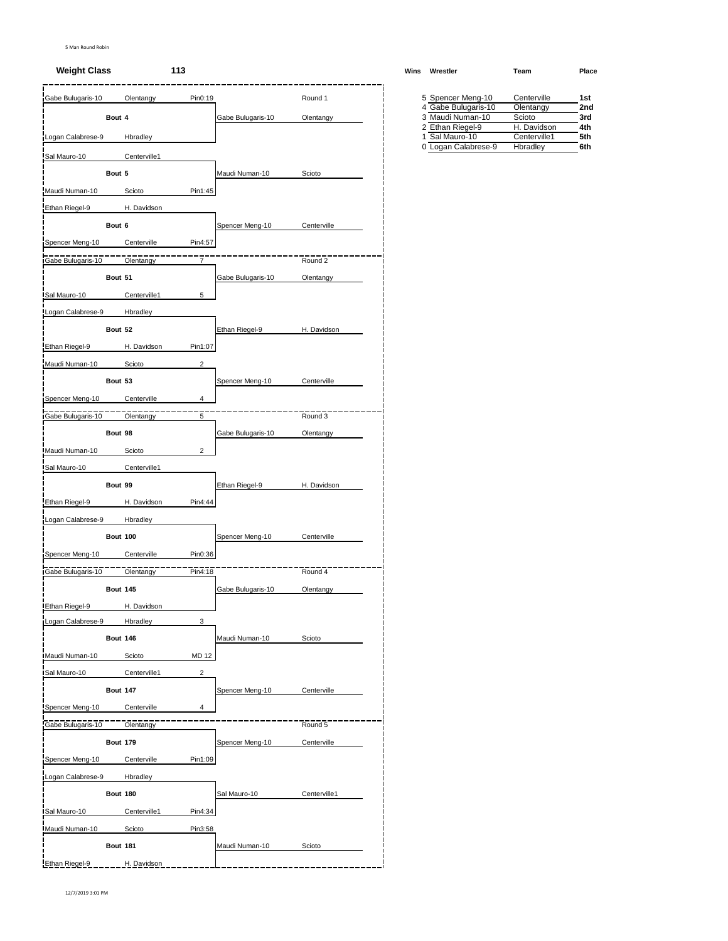# **Weight Class 113 Wins Wrestler Team Place**

| Gabe Bulugaris-10 |                 | Olentangy    | Pin0:19                 |                   | Round 1      |  | 5 Spencer Meng-10                       | Centerville              | 1st        |
|-------------------|-----------------|--------------|-------------------------|-------------------|--------------|--|-----------------------------------------|--------------------------|------------|
|                   | Bout 4          |              |                         | Gabe Bulugaris-10 | Olentangy    |  | 4 Gabe Bulugaris-10<br>3 Maudi Numan-10 | Olentangy<br>Scioto      | 2no<br>3rd |
|                   |                 |              |                         |                   |              |  | 2 Ethan Riegel-9                        | H. Davidson              | 4th        |
| Logan Calabrese-9 |                 | Hbradley     |                         |                   |              |  | 1 Sal Mauro-10<br>0 Logan Calabrese-9   | Centerville1<br>Hbradley | 5th<br>6th |
| Sal Mauro-10      |                 | Centerville1 |                         |                   |              |  |                                         |                          |            |
|                   | Bout 5          |              |                         | Maudi Numan-10    | Scioto       |  |                                         |                          |            |
| Maudi Numan-10    |                 | Scioto       | Pin1:45                 |                   |              |  |                                         |                          |            |
| Ethan Riegel-9    |                 | H. Davidson  |                         |                   |              |  |                                         |                          |            |
|                   | Bout 6          |              |                         | Spencer Meng-10   | Centerville  |  |                                         |                          |            |
| Spencer Meng-10   |                 | Centerville  | Pin4:57                 |                   |              |  |                                         |                          |            |
| Gabe Bulugaris-10 |                 | Olentangy    | $\overline{7}$          |                   | Round 2      |  |                                         |                          |            |
|                   | Bout 51         |              |                         | Gabe Bulugaris-10 | Olentangy    |  |                                         |                          |            |
| Sal Mauro-10      |                 | Centerville1 | 5                       |                   |              |  |                                         |                          |            |
| Logan Calabrese-9 |                 | Hbradley     |                         |                   |              |  |                                         |                          |            |
|                   | Bout 52         |              |                         | Ethan Riegel-9    | H. Davidson  |  |                                         |                          |            |
| Ethan Riegel-9    |                 | H. Davidson  | Pin1:07                 |                   |              |  |                                         |                          |            |
| Maudi Numan-10    |                 | Scioto       | $\overline{2}$          |                   |              |  |                                         |                          |            |
|                   | Bout 53         |              |                         | Spencer Meng-10   | Centerville  |  |                                         |                          |            |
|                   |                 |              |                         |                   |              |  |                                         |                          |            |
| Spencer Meng-10   |                 | Centerville  | 4                       |                   |              |  |                                         |                          |            |
| Gabe Bulugaris-10 |                 | Olentangy    | $\overline{5}$          |                   | Round 3      |  |                                         |                          |            |
|                   | Bout 98         |              |                         | Gabe Bulugaris-10 | Olentangy    |  |                                         |                          |            |
| Maudi Numan-10    |                 | Scioto       | $\overline{2}$          |                   |              |  |                                         |                          |            |
| Sal Mauro-10      |                 | Centerville1 |                         |                   |              |  |                                         |                          |            |
|                   | Bout 99         |              |                         | Ethan Riegel-9    | H. Davidson  |  |                                         |                          |            |
| Ethan Riegel-9    |                 | H. Davidson  | Pin4:44                 |                   |              |  |                                         |                          |            |
| Logan Calabrese-9 |                 | Hbradley     |                         |                   |              |  |                                         |                          |            |
|                   | Bout 100        |              |                         | Spencer Meng-10   | Centerville  |  |                                         |                          |            |
| Spencer Meng-10   |                 | Centerville  | Pin0:36                 |                   |              |  |                                         |                          |            |
| Gabe Bulugaris-10 |                 | Olentangy    | Pin4:18                 |                   | Round 4      |  |                                         |                          |            |
|                   | <b>Bout 145</b> |              |                         | Gabe Bulugaris-10 | Olentangy    |  |                                         |                          |            |
| Ethan Riegel-9    |                 | H. Davidson  |                         |                   |              |  |                                         |                          |            |
| Logan Calabrese-9 |                 | Hbradley     | 3                       |                   |              |  |                                         |                          |            |
|                   | <b>Bout 146</b> |              |                         | Maudi Numan-10    | Scioto       |  |                                         |                          |            |
| Maudi Numan-10    |                 | Scioto       | <b>MD 12</b>            |                   |              |  |                                         |                          |            |
| Sal Mauro-10      |                 | Centerville1 | $\overline{\mathbf{c}}$ |                   |              |  |                                         |                          |            |
|                   | <b>Bout 147</b> |              |                         | Spencer Meng-10   | Centerville  |  |                                         |                          |            |
|                   |                 |              | 4                       |                   |              |  |                                         |                          |            |
| Spencer Meng-10   |                 | Centerville  |                         |                   |              |  |                                         |                          |            |
| Gabe Bulugaris-10 |                 | Olentangy    |                         |                   | Round 5      |  |                                         |                          |            |
|                   | <b>Bout 179</b> |              |                         | Spencer Meng-10   | Centerville  |  |                                         |                          |            |
| Spencer Meng-10   |                 | Centerville  | Pin1:09                 |                   |              |  |                                         |                          |            |
| Logan Calabrese-9 |                 | Hbradley     |                         |                   |              |  |                                         |                          |            |
|                   | <b>Bout 180</b> |              |                         | Sal Mauro-10      | Centerville1 |  |                                         |                          |            |
| Sal Mauro-10      |                 | Centerville1 | Pin4:34                 |                   |              |  |                                         |                          |            |
| Maudi Numan-10    |                 | Scioto       | Pin3:58                 |                   |              |  |                                         |                          |            |
|                   | <b>Bout 181</b> |              |                         | Maudi Numan-10    | Scioto       |  |                                         |                          |            |
| Ethan Riegel-9    |                 | H. Davidson  |                         |                   |              |  |                                         |                          |            |

| 5 Spencer Meng-10   | Centerville  | 1st |
|---------------------|--------------|-----|
| 4 Gabe Bulugaris-10 | Olentangy    | 2nd |
| 3 Maudi Numan-10    | Scioto       | 3rd |
| 2 Ethan Riegel-9    | H. Davidson  | 4th |
| 1 Sal Mauro-10      | Centerville1 | 5th |
| Logan Calabrese-9   | Hbradley     | 6th |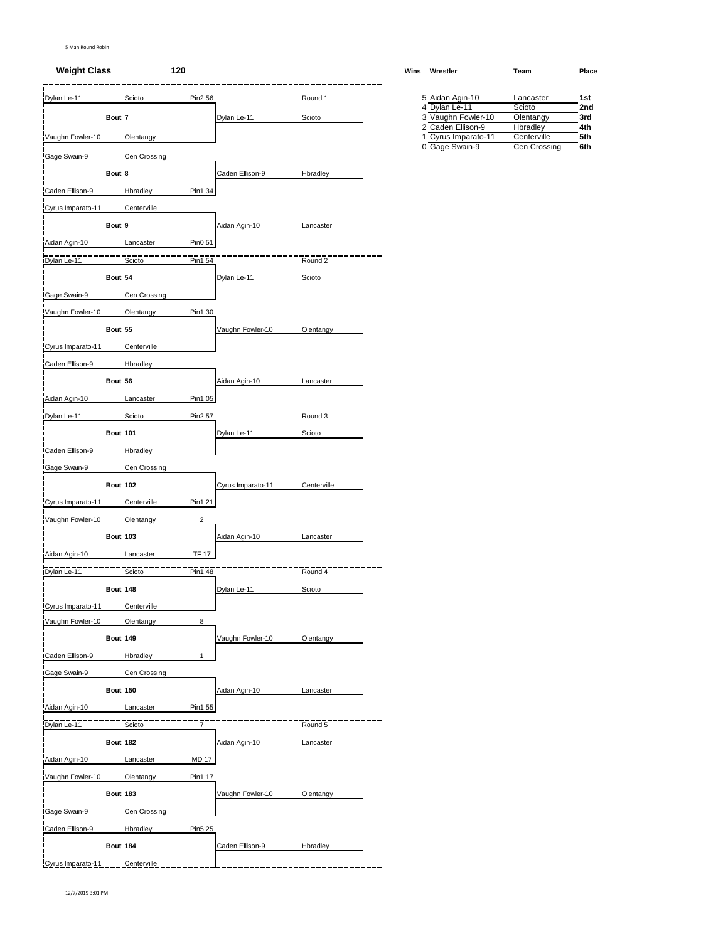# **Weight Class 120 Wins Wrestler Team Place**

| Dylan Le-11       |                 | Scioto       | Pin2:56      |                   | Round 1     |  | 5 Aidan Agin-10<br>4 Dylan Le-11            | Lancaster<br>Scioto     | 1st<br>2nc |
|-------------------|-----------------|--------------|--------------|-------------------|-------------|--|---------------------------------------------|-------------------------|------------|
|                   | Bout 7          |              |              | Dylan Le-11       | Scioto      |  | 3 Vaughn Fowler-10                          | Olentangy               | 3rd        |
| Vaughn Fowler-10  |                 | Olentangy    |              |                   |             |  | 2 Caden Ellison-9<br>Cyrus Imparato-11<br>1 | Hbradley<br>Centerville | 4th<br>5th |
| Gage Swain-9      |                 | Cen Crossing |              |                   |             |  | 0 Gage Swain-9                              | Cen Crossing            | 6th        |
|                   |                 |              |              |                   |             |  |                                             |                         |            |
|                   | Bout 8          |              |              | Caden Ellison-9   | Hbradley    |  |                                             |                         |            |
| Caden Ellison-9   |                 | Hbradley     | Pin1:34      |                   |             |  |                                             |                         |            |
| Cyrus Imparato-11 |                 | Centerville  |              |                   |             |  |                                             |                         |            |
|                   | Bout 9          |              |              | Aidan Agin-10     | Lancaster   |  |                                             |                         |            |
| Aidan Agin-10     |                 | Lancaster    | Pin0:51      |                   |             |  |                                             |                         |            |
| Dylan Le-11       |                 | Scioto       | Pin1:54      |                   | Round 2     |  |                                             |                         |            |
|                   | Bout 54         |              |              | Dylan Le-11       | Scioto      |  |                                             |                         |            |
| Gage Swain-9      |                 | Cen Crossing |              |                   |             |  |                                             |                         |            |
| Vaughn Fowler-10  |                 | Olentangy    | Pin1:30      |                   |             |  |                                             |                         |            |
|                   | Bout 55         |              |              | Vaughn Fowler-10  | Olentangy   |  |                                             |                         |            |
| Cyrus Imparato-11 |                 | Centerville  |              |                   |             |  |                                             |                         |            |
| Caden Ellison-9   |                 | Hbradley     |              |                   |             |  |                                             |                         |            |
|                   |                 |              |              |                   |             |  |                                             |                         |            |
|                   | Bout 56         |              |              | Aidan Agin-10     | Lancaster   |  |                                             |                         |            |
| Aidan Agin-10     |                 | Lancaster    | Pin1:05      |                   |             |  |                                             |                         |            |
| Dylan Le-11       |                 | Scioto       | Pin2:57      |                   | Round 3     |  |                                             |                         |            |
|                   | <b>Bout 101</b> |              |              | Dylan Le-11       | Scioto      |  |                                             |                         |            |
| Caden Ellison-9   |                 | Hbradley     |              |                   |             |  |                                             |                         |            |
| Gage Swain-9      |                 | Cen Crossing |              |                   |             |  |                                             |                         |            |
|                   | <b>Bout 102</b> |              |              | Cyrus Imparato-11 | Centerville |  |                                             |                         |            |
| Cyrus Imparato-11 |                 | Centerville  | Pin1:21      |                   |             |  |                                             |                         |            |
| Vaughn Fowler-10  |                 | Olentangy    | 2            |                   |             |  |                                             |                         |            |
|                   | <b>Bout 103</b> |              |              | Aidan Agin-10     | Lancaster   |  |                                             |                         |            |
| Aidan Agin-10     |                 |              | <b>TF 17</b> |                   |             |  |                                             |                         |            |
|                   |                 | Lancaster    |              |                   |             |  |                                             |                         |            |
| Dylan Le-11       |                 | Scioto       | Pin1:48      |                   | Round 4     |  |                                             |                         |            |
|                   | <b>Bout 148</b> |              |              | Dylan Le-11       | Scioto      |  |                                             |                         |            |
| Cyrus Imparato-11 |                 | Centerville  |              |                   |             |  |                                             |                         |            |
| Vaughn Fowler-10  |                 | Olentangy    | 8            |                   |             |  |                                             |                         |            |
|                   | <b>Bout 149</b> |              |              | Vaughn Fowler-10  | Olentangy   |  |                                             |                         |            |
| Caden Ellison-9   |                 | Hbradley     | $\mathbf{1}$ |                   |             |  |                                             |                         |            |
| Gage Swain-9      |                 | Cen Crossing |              |                   |             |  |                                             |                         |            |
|                   | <b>Bout 150</b> |              |              | Aidan Agin-10     | Lancaster   |  |                                             |                         |            |
| Aidan Agin-10     |                 | Lancaster    | Pin1:55      |                   |             |  |                                             |                         |            |
| Dylan Le-11       |                 | Scioto       | 7            |                   | Round 5     |  |                                             |                         |            |
|                   | <b>Bout 182</b> |              |              | Aidan Agin-10     | Lancaster   |  |                                             |                         |            |
|                   |                 |              |              |                   |             |  |                                             |                         |            |
| Aidan Agin-10     |                 | Lancaster    | <b>MD 17</b> |                   |             |  |                                             |                         |            |
| Vaughn Fowler-10  |                 | Olentangy    | Pin1:17      |                   |             |  |                                             |                         |            |
|                   | <b>Bout 183</b> |              |              | Vaughn Fowler-10  | Olentangy   |  |                                             |                         |            |
| Gage Swain-9      |                 | Cen Crossing |              |                   |             |  |                                             |                         |            |
| Caden Ellison-9   |                 | Hbradley     | Pin5:25      |                   |             |  |                                             |                         |            |
|                   | <b>Bout 184</b> |              |              | Caden Ellison-9   | Hbradley    |  |                                             |                         |            |
| Cyrus Imparato-11 |                 | Centerville  |              |                   |             |  |                                             |                         |            |

| 5 Aidan Agin-10     | Lancaster    | 1st |
|---------------------|--------------|-----|
| 4 Dylan Le-11       | Scioto       | 2nd |
| 3 Vaughn Fowler-10  | Olentangy    | 3rd |
| 2 Caden Ellison-9   | Hbradley     | 4th |
| 1 Cyrus Imparato-11 | Centerville  | 5th |
| 0 Gage Swain-9      | Cen Crossing | 6th |
|                     |              |     |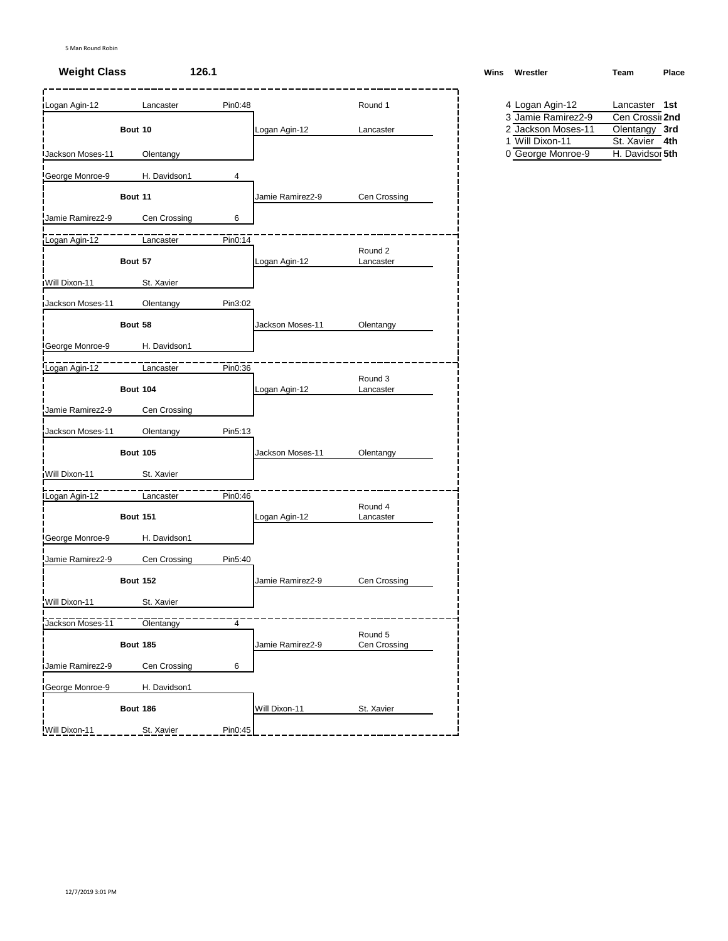| <b>Logan Agin-12</b>    | Lancaster       | Pin0:48 |                  | Round 1                 | 4 Logan Agin-12                      | Lancaster 1st                     |
|-------------------------|-----------------|---------|------------------|-------------------------|--------------------------------------|-----------------------------------|
|                         |                 |         |                  |                         | 3 Jamie Ramirez2-9                   | Cen Crossi 2nd                    |
|                         | Bout 10         |         | Logan Agin-12    | Lancaster               | 2 Jackson Moses-11                   | Olentangy 3rd                     |
| <b>Jackson Moses-11</b> | Olentangy       |         |                  |                         | 1 Will Dixon-11<br>0 George Monroe-9 | St. Xavier 4th<br>H. Davidsor 5th |
| George Monroe-9         | H. Davidson1    | 4       |                  |                         |                                      |                                   |
|                         | Bout 11         |         | Jamie Ramirez2-9 | Cen Crossing            |                                      |                                   |
| Jamie Ramirez2-9        | Cen Crossing    | 6       |                  |                         |                                      |                                   |
| Logan Agin-12           | Lancaster       | Pin0:14 |                  |                         |                                      |                                   |
|                         | Bout 57         |         | Logan Agin-12    | Round 2<br>Lancaster    |                                      |                                   |
| Will Dixon-11           | St. Xavier      |         |                  |                         |                                      |                                   |
| Jackson Moses-11        | Olentangy       | Pin3:02 |                  |                         |                                      |                                   |
|                         | Bout 58         |         | Jackson Moses-11 | Olentangy               |                                      |                                   |
| George Monroe-9         | H. Davidson1    |         |                  |                         |                                      |                                   |
| Logan Agin-12           | Lancaster       | Pin0:36 |                  |                         |                                      |                                   |
|                         | <b>Bout 104</b> |         | Logan Agin-12    | Round 3<br>Lancaster    |                                      |                                   |
| Jamie Ramirez2-9        | Cen Crossing    |         |                  |                         |                                      |                                   |
| Jackson Moses-11        | Olentangy       | Pin5:13 |                  |                         |                                      |                                   |
|                         | <b>Bout 105</b> |         | Jackson Moses-11 | Olentangy               |                                      |                                   |
| Will Dixon-11           | St. Xavier      |         |                  |                         |                                      |                                   |
| <b>ILogan Agin-12</b>   | Lancaster       | Pin0:46 |                  |                         |                                      |                                   |
|                         | <b>Bout 151</b> |         | Logan Agin-12    | Round 4<br>Lancaster    |                                      |                                   |
| George Monroe-9         | H. Davidson1    |         |                  |                         |                                      |                                   |
| Jamie Ramirez2-9        | Cen Crossing    | Pin5:40 |                  |                         |                                      |                                   |
|                         | <b>Bout 152</b> |         | Jamie Ramirez2-9 | Cen Crossing            |                                      |                                   |
| Will Dixon-11           | St. Xavier      |         |                  |                         |                                      |                                   |
| Jackson Moses-11        | Olentangy       | 4       |                  |                         |                                      |                                   |
|                         | <b>Bout 185</b> |         | Jamie Ramirez2-9 | Round 5<br>Cen Crossing |                                      |                                   |
| Jamie Ramirez2-9        | Cen Crossing    | 6       |                  |                         |                                      |                                   |
| <b>IGeorge Monroe-9</b> | H. Davidson1    |         |                  |                         |                                      |                                   |
|                         | <b>Bout 186</b> |         | Will Dixon-11    | St. Xavier              |                                      |                                   |
| Will Dixon-11           | St. Xavier      | Pin0:45 |                  |                         |                                      |                                   |
|                         |                 |         |                  |                         |                                      |                                   |

**Weight Class 126.1 Wins Wrestler Team Place**

| 4 Logan Agin-12    | Lancaster 1st   |  |
|--------------------|-----------------|--|
| 3 Jamie Ramirez2-9 | Cen Crossil 2nd |  |
| 2 Jackson Moses-11 | Olentangy 3rd   |  |
| 1 Will Dixon-11    | St. Xavier 4th  |  |
| 0 George Monroe-9  | H. Davidsor 5th |  |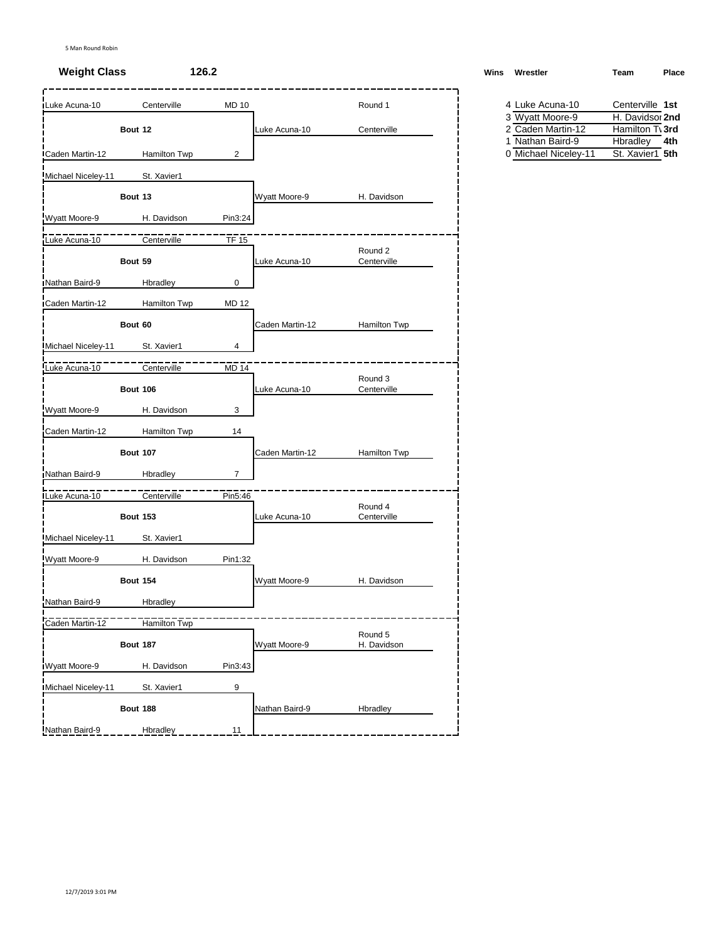# **Weight Class 126.2 Winsbury <b>Winsbury Administration Winsbury Administration Winsbury Administration Place**

| Luke Acuna-10        | Centerville         | <b>MD 10</b>   |                 | Round 1                | 4 Luke Acuna-10<br>3 Wyatt Moore-9 | Centerville 1st<br>H. Davidsor 2nd |
|----------------------|---------------------|----------------|-----------------|------------------------|------------------------------------|------------------------------------|
|                      | Bout 12             |                | Luke Acuna-10   | Centerville            | 2 Caden Martin-12                  | Hamilton T\ 3rd                    |
|                      |                     |                |                 |                        | 1 Nathan Baird-9                   | Hbradley<br>4th                    |
| Caden Martin-12      | <b>Hamilton Twp</b> | $\overline{2}$ |                 |                        | 0 Michael Niceley-11               | St. Xavier1 5th                    |
| Michael Niceley-11   | St. Xavier1         |                |                 |                        |                                    |                                    |
|                      | Bout 13             |                | Wyatt Moore-9   | H. Davidson            |                                    |                                    |
| Wyatt Moore-9        | H. Davidson         | Pin3:24        |                 |                        |                                    |                                    |
| Luke Acuna-10        | Centerville         | $TF$ 15        |                 |                        |                                    |                                    |
|                      | Bout 59             |                | Luke Acuna-10   | Round 2<br>Centerville |                                    |                                    |
| Nathan Baird-9       | Hbradley            | 0              |                 |                        |                                    |                                    |
| Caden Martin-12      | <b>Hamilton Twp</b> | <b>MD 12</b>   |                 |                        |                                    |                                    |
|                      | Bout 60             |                | Caden Martin-12 | Hamilton Twp           |                                    |                                    |
| Michael Niceley-11   | St. Xavier1         | 4              |                 |                        |                                    |                                    |
| Luke Acuna-10        | Centerville         | MD 14          |                 |                        |                                    |                                    |
|                      | <b>Bout 106</b>     |                | Luke Acuna-10   | Round 3<br>Centerville |                                    |                                    |
| Wyatt Moore-9        | H. Davidson         | 3              |                 |                        |                                    |                                    |
| Caden Martin-12      | <b>Hamilton Twp</b> | 14             |                 |                        |                                    |                                    |
|                      | <b>Bout 107</b>     |                | Caden Martin-12 | Hamilton Twp           |                                    |                                    |
| Nathan Baird-9       | Hbradley            | $\overline{7}$ |                 |                        |                                    |                                    |
| Luke Acuna-10        | Centerville         | Pin5:46        |                 |                        |                                    |                                    |
|                      | <b>Bout 153</b>     |                | Luke Acuna-10   | Round 4<br>Centerville |                                    |                                    |
| Michael Niceley-11   | St. Xavier1         |                |                 |                        |                                    |                                    |
| Wyatt Moore-9        | H. Davidson         | Pin1:32        |                 |                        |                                    |                                    |
|                      | <b>Bout 154</b>     |                | Wyatt Moore-9   | H. Davidson            |                                    |                                    |
| Nathan Baird-9       | Hbradley            |                |                 |                        |                                    |                                    |
| Caden Martin-12      | Hamilton Twp        |                |                 |                        |                                    |                                    |
|                      | <b>Bout 187</b>     |                | Wyatt Moore-9   | Round 5<br>H. Davidson |                                    |                                    |
| <b>Wyatt Moore-9</b> | H. Davidson         | Pin3:43        |                 |                        |                                    |                                    |
| Michael Niceley-11   | St. Xavier1         | 9              |                 |                        |                                    |                                    |
|                      | <b>Bout 188</b>     |                | Nathan Baird-9  | Hbradley               |                                    |                                    |
| Nathan Baird-9       | Hbradley            | 11             |                 |                        |                                    |                                    |

| Vins Wrestler | Team | Place |
|---------------|------|-------|
|               |      |       |
|               |      |       |

| 4 Luke Acuna-10      | Centerville 1st |
|----------------------|-----------------|
| 3 Wyatt Moore-9      | H. Davidsor 2nd |
| 2 Caden Martin-12    | Hamilton T\ 3rd |
| 1 Nathan Baird-9     | Hbradley 4th    |
| 0 Michael Niceley-11 | St. Xavier1 5th |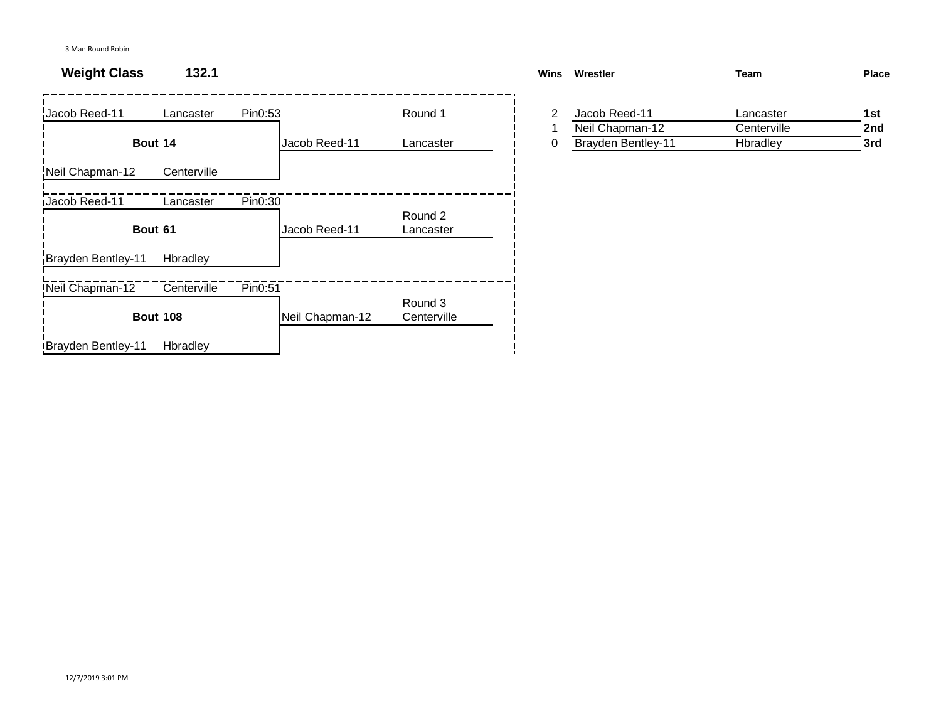# **Weight Class 132.1**

| Jacob Reed-11      | Lancaster       | Pin0:53 |                 | Round 1                | 2 | Jacob Reed-11             | Lancaster   | 1st |
|--------------------|-----------------|---------|-----------------|------------------------|---|---------------------------|-------------|-----|
|                    |                 |         |                 |                        |   | Neil Chapman-12           | Centerville | 2nc |
|                    | Bout 14         |         | Jacob Reed-11   | Lancaster              | 0 | <b>Brayden Bentley-11</b> | Hbradley    | 3rd |
| Neil Chapman-12    | Centerville     |         |                 |                        |   |                           |             |     |
| Jacob Reed-11      | Lancaster       | Pin0:30 |                 |                        |   |                           |             |     |
|                    | Bout 61         |         | Jacob Reed-11   | Round 2<br>Lancaster   |   |                           |             |     |
| Brayden Bentley-11 | Hbradley        |         |                 |                        |   |                           |             |     |
| Neil Chapman-12    | Centerville     | Pin0:51 |                 |                        |   |                           |             |     |
|                    | <b>Bout 108</b> |         | Neil Chapman-12 | Round 3<br>Centerville |   |                           |             |     |
| Brayden Bentley-11 | Hbradley        |         |                 |                        |   |                           |             |     |

| Wins | Wrestler                  | Team        | <b>Place</b> |
|------|---------------------------|-------------|--------------|
|      |                           |             |              |
|      | Jacob Reed-11             | Lancaster   | 1st          |
|      | Neil Chapman-12           | Centerville | 2nd          |
| 0    | <b>Brayden Bentley-11</b> | Hbradley    | 3rd          |
|      |                           |             |              |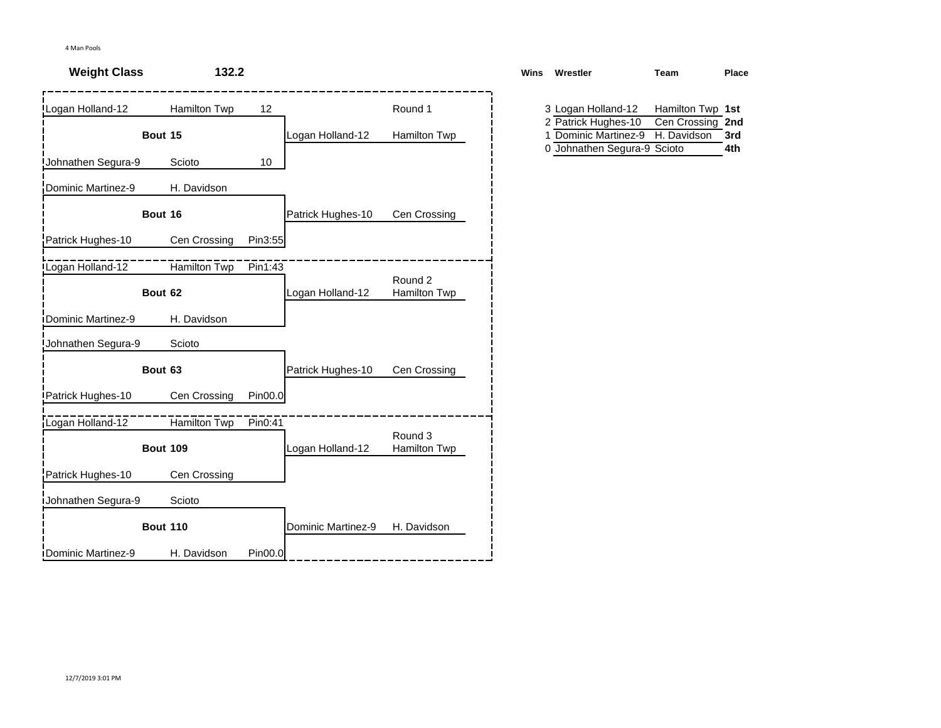| <b>Weight Class</b>        | 132.2                   |         |                    |                         | <b>Wins</b> | Wrestler                                                          | Team                                                | Pla |
|----------------------------|-------------------------|---------|--------------------|-------------------------|-------------|-------------------------------------------------------------------|-----------------------------------------------------|-----|
| Logan Holland-12           | Hamilton Twp<br>Bout 15 | 12      | Logan Holland-12   | Round 1<br>Hamilton Twp |             | 3 Logan Holland-12<br>2 Patrick Hughes-10<br>1 Dominic Martinez-9 | Hamilton Twp 1st<br>Cen Crossing 2nd<br>H. Davidson | 3rd |
| Johnathen Segura-9         | Scioto                  | 10      |                    |                         |             | 0 Johnathen Segura-9 Scioto                                       |                                                     | 4th |
| Dominic Martinez-9         | H. Davidson             |         |                    |                         |             |                                                                   |                                                     |     |
|                            | Bout 16                 |         | Patrick Hughes-10  | Cen Crossing            |             |                                                                   |                                                     |     |
| Patrick Hughes-10          | Cen Crossing            | Pin3:55 |                    |                         |             |                                                                   |                                                     |     |
| Logan Holland-12           | Hamilton Twp            | Pin1:43 |                    | Round 2                 |             |                                                                   |                                                     |     |
|                            | Bout 62                 |         | Logan Holland-12   | Hamilton Twp            |             |                                                                   |                                                     |     |
| <b>iDominic Martinez-9</b> | H. Davidson             |         |                    |                         |             |                                                                   |                                                     |     |
| Johnathen Segura-9         | Scioto                  |         |                    |                         |             |                                                                   |                                                     |     |
|                            | Bout 63                 |         | Patrick Hughes-10  | Cen Crossing            |             |                                                                   |                                                     |     |
| Patrick Hughes-10          | Cen Crossing            | Pin00.0 |                    |                         |             |                                                                   |                                                     |     |
| Logan Holland-12           | Hamilton Twp            | Pin0:41 |                    | Round 3                 |             |                                                                   |                                                     |     |
|                            | <b>Bout 109</b>         |         | Logan Holland-12   | Hamilton Twp            |             |                                                                   |                                                     |     |
| Patrick Hughes-10          | Cen Crossing            |         |                    |                         |             |                                                                   |                                                     |     |
| <b>Johnathen Segura-9</b>  | Scioto                  |         |                    |                         |             |                                                                   |                                                     |     |
|                            | <b>Bout 110</b>         |         | Dominic Martinez-9 | H. Davidson             |             |                                                                   |                                                     |     |
| <b>IDominic Martinez-9</b> | H. Davidson             | Pin00.0 |                    |                         |             |                                                                   |                                                     |     |

| Wins | Wrestler                             | Team             | Place |
|------|--------------------------------------|------------------|-------|
|      | 3 Logan Holland-12                   | Hamilton Twp 1st |       |
|      | 2 Patrick Hughes-10 Cen Crossing 2nd |                  |       |
|      | 1 Dominic Martinez-9                 | H. Davidson      | 3rd   |
|      | 0 Johnathen Segura-9 Scioto          |                  | 4th   |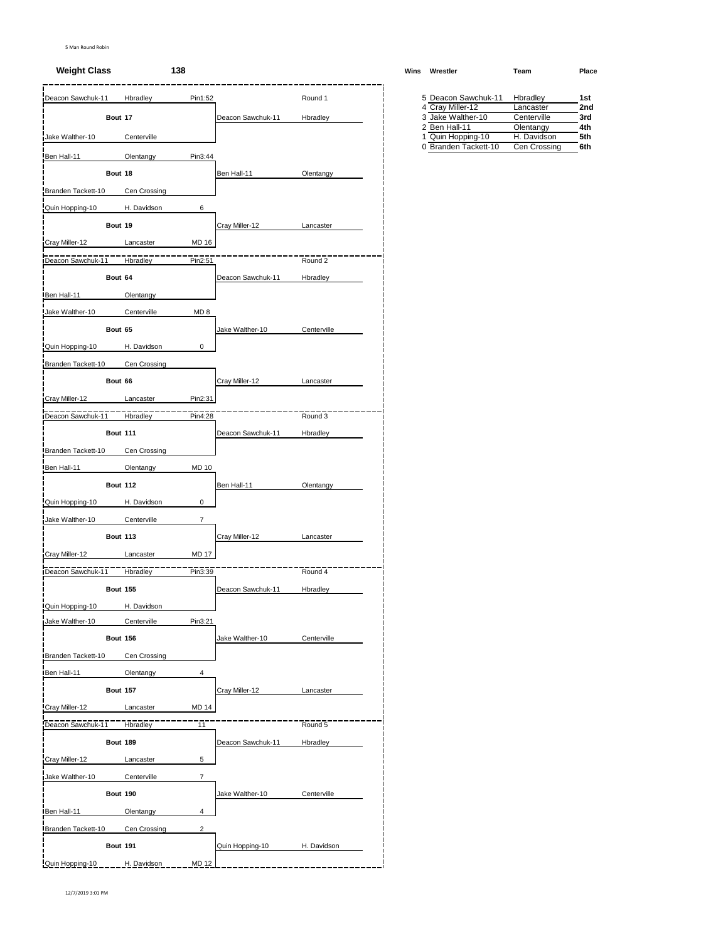### **Weight Class 138 Wins Wrestler Team Place**

| Deacon Sawchuk-11  |                 | Hbradley     | Pin1:52                  |                   | Round 1     | 5 Deacon Sawchuk-11                       | Hbradley                    | 1st        |
|--------------------|-----------------|--------------|--------------------------|-------------------|-------------|-------------------------------------------|-----------------------------|------------|
|                    | Bout 17         |              |                          | Deacon Sawchuk-11 | Hbradley    | 4 Cray Miller-12<br>3 Jake Walther-10     | Lancaster<br>Centerville    | 2no<br>3rd |
|                    |                 |              |                          |                   |             | 2 Ben Hall-11                             | Olentangy                   | 4th        |
| Jake Walther-10    |                 | Centerville  |                          |                   |             | 1 Quin Hopping-10<br>0 Branden Tackett-10 | H. Davidson<br>Cen Crossing | 5th<br>6th |
| Ben Hall-11        |                 | Olentangy    | Pin3:44                  |                   |             |                                           |                             |            |
|                    | Bout 18         |              |                          | Ben Hall-11       | Olentangy   |                                           |                             |            |
| Branden Tackett-10 |                 | Cen Crossing |                          |                   |             |                                           |                             |            |
| Quin Hopping-10    |                 | H. Davidson  | 6                        |                   |             |                                           |                             |            |
|                    | Bout 19         |              |                          | Cray Miller-12    | Lancaster   |                                           |                             |            |
| Cray Miller-12     |                 | Lancaster    | <b>MD 16</b>             |                   |             |                                           |                             |            |
| Deacon Sawchuk-11  |                 | Hbradley     | Pin2:51                  |                   | Round 2     |                                           |                             |            |
|                    | Bout 64         |              |                          | Deacon Sawchuk-11 | Hbradley    |                                           |                             |            |
| Ben Hall-11        |                 | Olentangy    |                          |                   |             |                                           |                             |            |
| Jake Walther-10    |                 | Centerville  | MD <sub>8</sub>          |                   |             |                                           |                             |            |
|                    | Bout 65         |              |                          | Jake Walther-10   | Centerville |                                           |                             |            |
|                    |                 | H. Davidson  | 0                        |                   |             |                                           |                             |            |
| Quin Hopping-10    |                 |              |                          |                   |             |                                           |                             |            |
| Branden Tackett-10 |                 | Cen Crossing |                          |                   |             |                                           |                             |            |
|                    | Bout 66         |              |                          | Cray Miller-12    | Lancaster   |                                           |                             |            |
| Cray Miller-12     |                 | Lancaster    | Pin2:31                  |                   |             |                                           |                             |            |
| Deacon Sawchuk-11  |                 | Hbradley     | Pin4:28                  |                   | Round 3     |                                           |                             |            |
|                    | <b>Bout 111</b> |              |                          | Deacon Sawchuk-11 | Hbradley    |                                           |                             |            |
| Branden Tackett-10 |                 | Cen Crossing |                          |                   |             |                                           |                             |            |
| Ben Hall-11        |                 | Olentangy    | <b>MD 10</b>             |                   |             |                                           |                             |            |
|                    | <b>Bout 112</b> |              |                          | Ben Hall-11       | Olentangy   |                                           |                             |            |
| Quin Hopping-10    |                 | H. Davidson  | 0                        |                   |             |                                           |                             |            |
| Jake Walther-10    |                 | Centerville  | $\overline{\mathcal{I}}$ |                   |             |                                           |                             |            |
|                    | <b>Bout 113</b> |              |                          | Cray Miller-12    | Lancaster   |                                           |                             |            |
| Cray Miller-12     |                 | Lancaster    | <b>MD 17</b>             |                   |             |                                           |                             |            |
|                    |                 |              |                          |                   |             |                                           |                             |            |
| Deacon Sawchuk-11  |                 | Hbradley     | Pin3:39                  |                   | Round 4     |                                           |                             |            |
|                    | <b>Bout 155</b> |              |                          | Deacon Sawchuk-11 | Hbradley    |                                           |                             |            |
| Quin Hopping-10    |                 | H. Davidson  |                          |                   |             |                                           |                             |            |
| Jake Walther-10    |                 | Centerville  | Pin3:21                  |                   |             |                                           |                             |            |
|                    | <b>Bout 156</b> |              |                          | Jake Walther-10   | Centerville |                                           |                             |            |
| Branden Tackett-10 |                 | Cen Crossing |                          |                   |             |                                           |                             |            |
| Ben Hall-11        |                 | Olentangy    | 4                        |                   |             |                                           |                             |            |
|                    | <b>Bout 157</b> |              |                          | Cray Miller-12    | Lancaster   |                                           |                             |            |
| Cray Miller-12     |                 | Lancaster    | <b>MD 14</b>             |                   |             |                                           |                             |            |
| Deacon Sawchuk-11  |                 | Hbradley     | 11                       |                   | Round 5     |                                           |                             |            |
|                    | <b>Bout 189</b> |              |                          | Deacon Sawchuk-11 | Hbradley    |                                           |                             |            |
| Cray Miller-12     |                 | Lancaster    | 5                        |                   |             |                                           |                             |            |
| Jake Walther-10    |                 | Centerville  | $\overline{7}$           |                   |             |                                           |                             |            |
|                    |                 |              |                          |                   |             |                                           |                             |            |
|                    | <b>Bout 190</b> |              |                          | Jake Walther-10   | Centerville |                                           |                             |            |
| Ben Hall-11        |                 | Olentangy    | 4                        |                   |             |                                           |                             |            |
| Branden Tackett-10 |                 | Cen Crossing | $\overline{\mathbf{c}}$  |                   |             |                                           |                             |            |
|                    | <b>Bout 191</b> |              |                          | Quin Hopping-10   | H. Davidson |                                           |                             |            |
| Quin Hopping-10    |                 | H. Davidson  | MD 12                    |                   |             |                                           |                             |            |

| 5 Deacon Sawchuk-11  | Hbradlev     | 1st             |
|----------------------|--------------|-----------------|
| 4 Cray Miller-12     | Lancaster    | 2 <sub>nd</sub> |
| 3 Jake Walther-10    | Centerville  | 3rd             |
| 2 Ben Hall-11        | Olentangy    | 4th             |
| 1 Quin Hopping-10    | H. Davidson  | 5th             |
| 0 Branden Tackett-10 | Cen Crossing | 6th             |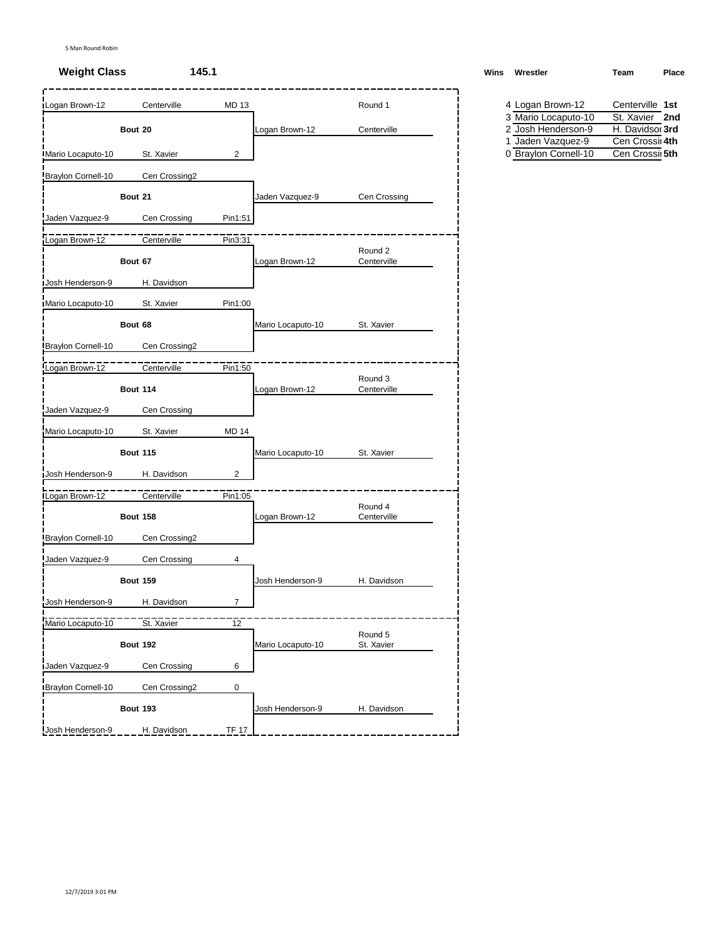# **Weight Class 145.1 Weight Class Place**

| Logan Brown-12     | Centerville     | <b>MD13</b>    |                   | Round 1                | 4 Logan Brown-12                          | Centerville 1st                  |
|--------------------|-----------------|----------------|-------------------|------------------------|-------------------------------------------|----------------------------------|
|                    |                 |                |                   |                        | 3 Mario Locaputo-10                       | St. Xavier 2nd                   |
|                    | Bout 20         |                | Logan Brown-12    | Centerville            | 2 Josh Henderson-9                        | H. Davidsor 3rd                  |
| Mario Locaputo-10  | St. Xavier      | $\overline{2}$ |                   |                        | 1 Jaden Vazquez-9<br>0 Braylon Cornell-10 | Cen Crossi 4th<br>Cen Crossi 5th |
| Braylon Cornell-10 | Cen Crossing2   |                |                   |                        |                                           |                                  |
|                    | Bout 21         |                | Jaden Vazquez-9   | Cen Crossing           |                                           |                                  |
| Jaden Vazquez-9    | Cen Crossing    | Pin1:51        |                   |                        |                                           |                                  |
| Logan Brown-12     | Centerville     | Pin3:31        |                   |                        |                                           |                                  |
|                    | Bout 67         |                | Logan Brown-12    | Round 2<br>Centerville |                                           |                                  |
| Josh Henderson-9   | H. Davidson     |                |                   |                        |                                           |                                  |
| Mario Locaputo-10  | St. Xavier      | Pin1:00        |                   |                        |                                           |                                  |
|                    | Bout 68         |                | Mario Locaputo-10 | St. Xavier             |                                           |                                  |
| Braylon Cornell-10 | Cen Crossing2   |                |                   |                        |                                           |                                  |
| Logan Brown-12     | Centerville     | Pin1:50        |                   |                        |                                           |                                  |
|                    | <b>Bout 114</b> |                | Logan Brown-12    | Round 3<br>Centerville |                                           |                                  |
| Jaden Vazquez-9    | Cen Crossing    |                |                   |                        |                                           |                                  |
| Mario Locaputo-10  | St. Xavier      | <b>MD 14</b>   |                   |                        |                                           |                                  |
|                    | <b>Bout 115</b> |                | Mario Locaputo-10 | St. Xavier             |                                           |                                  |
| Josh Henderson-9   | H. Davidson     | $\overline{c}$ |                   |                        |                                           |                                  |
| Logan Brown-12     | Centerville     | Pin1:05        |                   | Round 4                |                                           |                                  |
|                    | <b>Bout 158</b> |                | Logan Brown-12    | Centerville            |                                           |                                  |
| Braylon Cornell-10 | Cen Crossing2   |                |                   |                        |                                           |                                  |
| Jaden Vazquez-9    | Cen Crossing    | 4              |                   |                        |                                           |                                  |
|                    | <b>Bout 159</b> |                | Josh Henderson-9  | H. Davidson            |                                           |                                  |
| Josh Henderson-9   | H. Davidson     | $\overline{7}$ |                   |                        |                                           |                                  |
| Mario Locaputo-10  | St. Xavier      | 12             |                   |                        |                                           |                                  |
|                    | <b>Bout 192</b> |                | Mario Locaputo-10 | Round 5<br>St. Xavier  |                                           |                                  |
| Jaden Vazquez-9    | Cen Crossing    | 6              |                   |                        |                                           |                                  |
| Braylon Cornell-10 | Cen Crossing2   | 0              |                   |                        |                                           |                                  |
|                    | <b>Bout 193</b> |                | Josh Henderson-9  | H. Davidson            |                                           |                                  |
| Josh Henderson-9   | H. Davidson     | <b>TF 17</b>   |                   |                        |                                           |                                  |

| Wins Wrestler | Team | Place |
|---------------|------|-------|
|               |      |       |

|  | 4 Logan Brown-12     | Centerville 1st |  |
|--|----------------------|-----------------|--|
|  | 3 Mario Locaputo-10  | St. Xavier 2nd  |  |
|  | 2 Josh Henderson-9   | H. Davidsor 3rd |  |
|  | 1 Jaden Vazquez-9    | Cen Crossi 4th  |  |
|  | 0 Bravlon Cornell-10 | Cen Crossil 5th |  |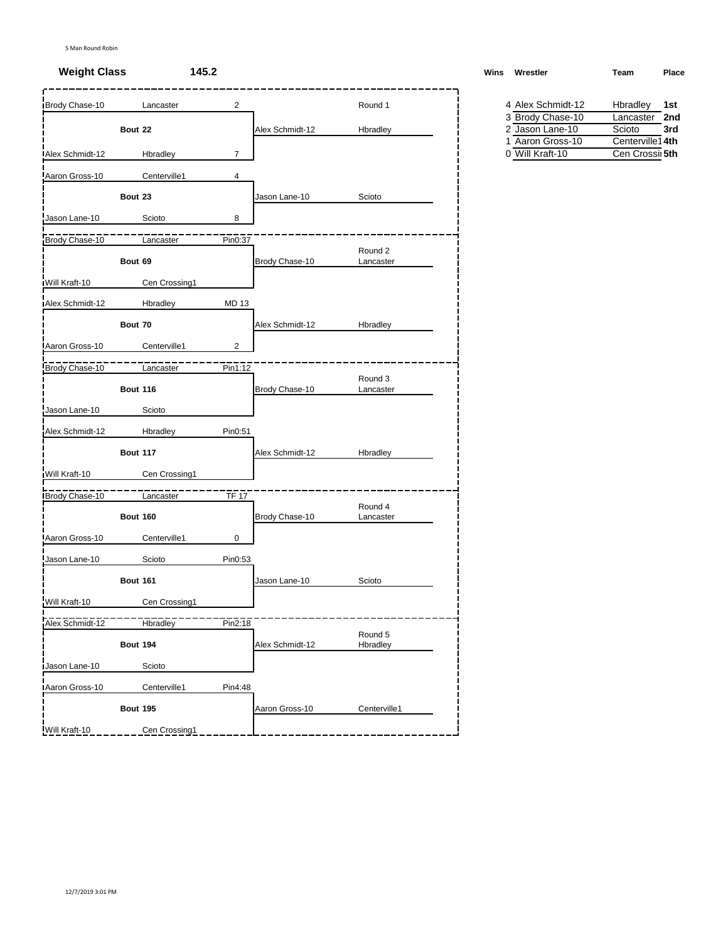# **Weight Class 145.2 Wins Wrestler Team Place**

| Brody Chase-10  | Lancaster       | $\overline{2}$ |                 | Round 1              | 4 Alex Schmidt-12 | Hbradley<br>1st |
|-----------------|-----------------|----------------|-----------------|----------------------|-------------------|-----------------|
|                 |                 |                |                 |                      | 3 Brody Chase-10  | Lancaster 2nd   |
|                 | Bout 22         |                | Alex Schmidt-12 | Hbradley             | 2 Jason Lane-10   | Scioto<br>3rd   |
|                 |                 |                |                 |                      | 1 Aaron Gross-10  | Centerville14th |
| Alex Schmidt-12 | Hbradley        | $\overline{7}$ |                 |                      | 0 Will Kraft-10   | Cen Crossi 5th  |
| Aaron Gross-10  | Centerville1    | 4              |                 |                      |                   |                 |
|                 | Bout 23         |                | Jason Lane-10   | Scioto               |                   |                 |
| Jason Lane-10   | Scioto          | 8              |                 |                      |                   |                 |
| Brody Chase-10  | Lancaster       | Pin0:37        |                 |                      |                   |                 |
|                 | Bout 69         |                | Brody Chase-10  | Round 2<br>Lancaster |                   |                 |
| Will Kraft-10   | Cen Crossing1   |                |                 |                      |                   |                 |
| Alex Schmidt-12 | Hbradley        | <b>MD 13</b>   |                 |                      |                   |                 |
|                 | Bout 70         |                | Alex Schmidt-12 | Hbradley             |                   |                 |
| Aaron Gross-10  | Centerville1    | $\overline{2}$ |                 |                      |                   |                 |
| Brody Chase-10  | Lancaster       | Pin1:12        |                 |                      |                   |                 |
|                 | <b>Bout 116</b> |                | Brody Chase-10  | Round 3<br>Lancaster |                   |                 |
| Jason Lane-10   | Scioto          |                |                 |                      |                   |                 |
| Alex Schmidt-12 | Hbradley        | Pin0:51        |                 |                      |                   |                 |
|                 | <b>Bout 117</b> |                | Alex Schmidt-12 | Hbradley             |                   |                 |
| Will Kraft-10   | Cen Crossing1   |                |                 |                      |                   |                 |
| Brody Chase-10  | Lancaster       | <b>TF 17</b>   |                 |                      |                   |                 |
|                 | <b>Bout 160</b> |                | Brody Chase-10  | Round 4<br>Lancaster |                   |                 |
| Aaron Gross-10  | Centerville1    | 0              |                 |                      |                   |                 |
| Jason Lane-10   | Scioto          | Pin0:53        |                 |                      |                   |                 |
|                 | <b>Bout 161</b> |                | Jason Lane-10   | Scioto               |                   |                 |
| Will Kraft-10   | Cen Crossing1   |                |                 |                      |                   |                 |
| Alex Schmidt-12 | Hbradley        | Pin2:18        |                 |                      |                   |                 |
|                 | <b>Bout 194</b> |                | Alex Schmidt-12 | Round 5<br>Hbradley  |                   |                 |
| Jason Lane-10   | Scioto          |                |                 |                      |                   |                 |
| Aaron Gross-10  | Centerville1    | Pin4:48        |                 |                      |                   |                 |
|                 | <b>Bout 195</b> |                | Aaron Gross-10  | Centerville1         |                   |                 |
| Will Kraft-10   | Cen Crossing1   |                |                 |                      |                   |                 |

| Vins | Wrestler | Team | Place |
|------|----------|------|-------|
|      |          |      |       |
|      |          |      |       |

| 4 Alex Schmidt-12 | Hbradley        | 1st |
|-------------------|-----------------|-----|
| 3 Brody Chase-10  | Lancaster       | 2nd |
| 2 Jason Lane-10   | Scioto          | 3rd |
| 1 Aaron Gross-10  | Centerville14th |     |
| 0 Will Kraft-10   | Cen Crossii 5th |     |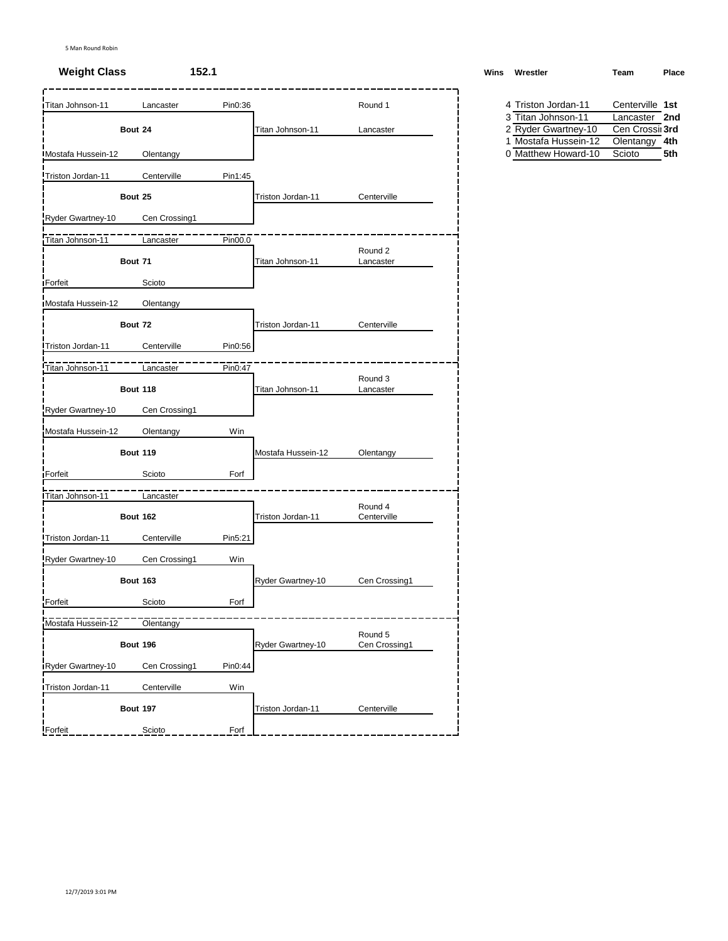| Titan Johnson-11           | Pin0:36<br>Lancaster     |                    | Round 1                | 4 Triston Jordan-11                         | Centerville 1st                  |
|----------------------------|--------------------------|--------------------|------------------------|---------------------------------------------|----------------------------------|
|                            |                          |                    |                        | 3 Titan Johnson 11                          | Lancaster 2nd                    |
| Bout 24                    |                          | Titan Johnson-11   | Lancaster              | 2 Ryder Gwartney-10<br>1 Mostafa Hussein-12 | Cen Crossii 3rd<br>Olentangy 4th |
| <b>IMostafa Hussein-12</b> | Olentangy                |                    |                        | 0 Matthew Howard-10                         | Scioto<br>5th                    |
| Triston Jordan-11          | Centerville<br>Pin1:45   |                    |                        |                                             |                                  |
| Bout 25                    |                          | Triston Jordan-11  | Centerville            |                                             |                                  |
| Ryder Gwartney-10          | Cen Crossing1            |                    |                        |                                             |                                  |
| Titan Johnson-11           | Pin00.0<br>Lancaster     |                    |                        |                                             |                                  |
| Bout 71                    |                          | Titan Johnson-11   | Round 2<br>Lancaster   |                                             |                                  |
| Forfeit                    | Scioto                   |                    |                        |                                             |                                  |
| Mostafa Hussein-12         | Olentangy                |                    |                        |                                             |                                  |
| Bout 72                    |                          | Triston Jordan-11  | Centerville            |                                             |                                  |
| Triston Jordan-11          | Pin0:56<br>Centerville   |                    |                        |                                             |                                  |
| Titan Johnson-11           | Lancaster<br>Pin0:47     |                    |                        |                                             |                                  |
| <b>Bout 118</b>            |                          | Titan Johnson-11   | Round 3<br>Lancaster   |                                             |                                  |
| Ryder Gwartney-10          | Cen Crossing1            |                    |                        |                                             |                                  |
| Mostafa Hussein-12         | Win<br>Olentangy         |                    |                        |                                             |                                  |
| <b>Bout 119</b>            |                          | Mostafa Hussein-12 | Olentangy              |                                             |                                  |
| Forfeit                    | Forf<br>Scioto           |                    |                        |                                             |                                  |
| Titan Johnson-11           | Lancaster                |                    |                        |                                             |                                  |
| <b>Bout 162</b>            |                          | Triston Jordan-11  | Round 4<br>Centerville |                                             |                                  |
| Triston Jordan-11          | Centerville<br>Pin5:21   |                    |                        |                                             |                                  |
| Ryder Gwartney-10          | Cen Crossing1<br>Win     |                    |                        |                                             |                                  |
| <b>Bout 163</b>            |                          | Ryder Gwartney-10  | Cen Crossing1          |                                             |                                  |
| Forfeit                    | Scioto<br>Forf           |                    |                        |                                             |                                  |
| Mostafa Hussein-12         | Olentangy                |                    | Round 5                |                                             |                                  |
| <b>Bout 196</b>            |                          | Ryder Gwartney-10  | Cen Crossing1          |                                             |                                  |
| Ryder Gwartney-10          | Cen Crossing1<br>Pin0:44 |                    |                        |                                             |                                  |
| Triston Jordan-11          | Centerville<br>Win       |                    |                        |                                             |                                  |
| <b>Bout 197</b>            |                          | Triston Jordan-11  | Centerville            |                                             |                                  |
| Forfeit                    | Forf<br>Scioto           |                    |                        |                                             |                                  |

| <b>Weight Class</b> | 152.1 | Wins | Wrestler                                        | Team | Place |
|---------------------|-------|------|-------------------------------------------------|------|-------|
|                     |       |      | the contract of the contract of the contract of |      | .     |
|                     |       |      |                                                 |      |       |

| 4 Triston Jordan-11  | Centerville 1st |     |
|----------------------|-----------------|-----|
| 3 Titan Johnson-11   | Lancaster 2nd   |     |
| 2 Ryder Gwartney-10  | Cen Crossii 3rd |     |
| 1 Mostafa Hussein-12 | Olentangy 4th   |     |
| 0 Matthew Howard-10  | Scioto          | 5th |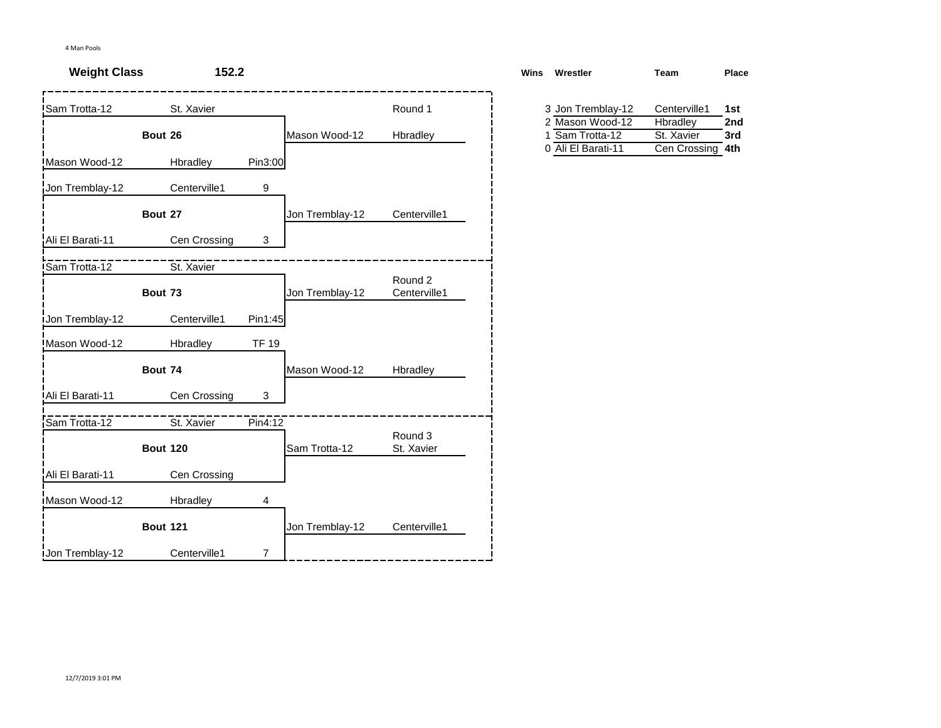| <b>Weight Class</b>   | 152.2           |              |                 |                         | <b>Wins</b> | Wrestler                                                    | Team                                       | Place      |
|-----------------------|-----------------|--------------|-----------------|-------------------------|-------------|-------------------------------------------------------------|--------------------------------------------|------------|
| Sam Trotta-12         | St. Xavier      |              |                 | Round 1                 |             | 3 Jon Tremblay-12                                           | Centerville1                               | 1st        |
|                       | Bout 26         |              | Mason Wood-12   | Hbradley                |             | 2 Mason Wood-12<br>Sam Trotta-12<br>1<br>0 Ali El Barati-11 | Hbradley<br>St. Xavier<br>Cen Crossing 4th | 2nd<br>3rd |
| Mason Wood-12         | Hbradley        | Pin3:00      |                 |                         |             |                                                             |                                            |            |
| Jon Tremblay-12       | Centerville1    | 9            |                 |                         |             |                                                             |                                            |            |
|                       | Bout 27         |              | Jon Tremblay-12 | Centerville1            |             |                                                             |                                            |            |
| Ali El Barati-11      | Cen Crossing    | 3            |                 |                         |             |                                                             |                                            |            |
| <b>ISam Trotta-12</b> | St. Xavier      |              |                 |                         |             |                                                             |                                            |            |
|                       | Bout 73         |              | Jon Tremblay-12 | Round 2<br>Centerville1 |             |                                                             |                                            |            |
| Jon Tremblay-12       | Centerville1    | Pin1:45      |                 |                         |             |                                                             |                                            |            |
| Mason Wood-12         | Hbradley        | <b>TF 19</b> |                 |                         |             |                                                             |                                            |            |
|                       | Bout 74         |              | Mason Wood-12   | Hbradley                |             |                                                             |                                            |            |
| Ali El Barati-11      | Cen Crossing    | 3            |                 |                         |             |                                                             |                                            |            |
| Sam Trotta-12         | St. Xavier      | Pin4:12      |                 |                         |             |                                                             |                                            |            |
|                       | <b>Bout 120</b> |              | Sam Trotta-12   | Round 3<br>St. Xavier   |             |                                                             |                                            |            |
| Ali El Barati-11      | Cen Crossing    |              |                 |                         |             |                                                             |                                            |            |
| Mason Wood-12         | Hbradley        | 4            |                 |                         |             |                                                             |                                            |            |
|                       | <b>Bout 121</b> |              | Jon Tremblay-12 | Centerville1            |             |                                                             |                                            |            |
| Jon Tremblay-12       | Centerville1    | 7            |                 |                         |             |                                                             |                                            |            |

| ins | Wrestler           | Team         | Place |
|-----|--------------------|--------------|-------|
|     | 3 Jon Tremblay-12  | Centerville1 | 1st   |
|     | 2 Mason Wood-12    | Hbradley     | 2nd   |
|     | 1 Sam Trotta-12    | St. Xavier   | 3rd   |
|     | 0 Ali El Barati-11 | Cen Crossing | 4th   |
|     |                    |              |       |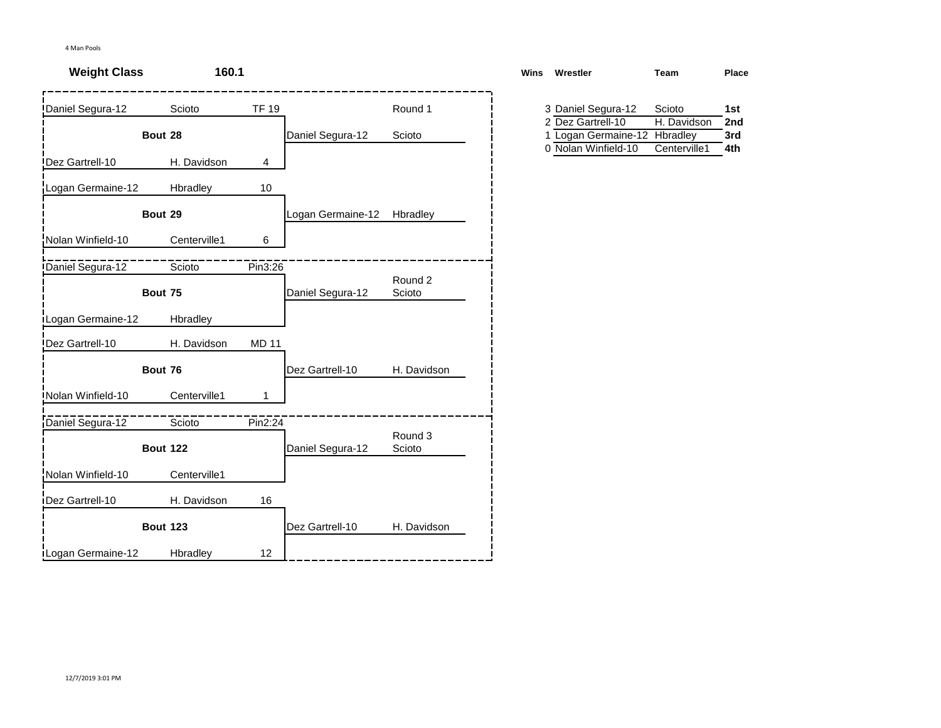| <b>Weight Class</b> | 160.1           |              |                   |                   | <b>Wins</b> | Wrestler                                | Team                  | Place      |
|---------------------|-----------------|--------------|-------------------|-------------------|-------------|-----------------------------------------|-----------------------|------------|
| Daniel Segura-12    | Scioto          | <b>TF 19</b> |                   | Round 1           |             | 3 Daniel Segura-12<br>2 Dez Gartrell-10 | Scioto<br>H. Davidson | 1st<br>2nd |
|                     | Bout 28         |              | Daniel Segura-12  | Scioto            |             | 1 Logan Germaine-12 Hbradley            |                       | 3rd        |
| Dez Gartrell-10     | H. Davidson     | 4            |                   |                   |             | 0 Nolan Winfield-10                     | Centerville1          | 4th        |
| Logan Germaine-12   | Hbradley        | 10           |                   |                   |             |                                         |                       |            |
|                     | Bout 29         |              | Logan Germaine-12 | Hbradley          |             |                                         |                       |            |
| Nolan Winfield-10   | Centerville1    | 6            |                   |                   |             |                                         |                       |            |
| Daniel Segura-12    | Scioto          | Pin3:26      |                   | Round 2           |             |                                         |                       |            |
|                     | Bout 75         |              | Daniel Segura-12  | Scioto            |             |                                         |                       |            |
| Logan Germaine-12   | Hbradley        |              |                   |                   |             |                                         |                       |            |
| Dez Gartrell-10     | H. Davidson     | <b>MD 11</b> |                   |                   |             |                                         |                       |            |
|                     | Bout 76         |              | Dez Gartrell-10   | H. Davidson       |             |                                         |                       |            |
| Nolan Winfield-10   | Centerville1    |              |                   |                   |             |                                         |                       |            |
| Daniel Segura-12    | Scioto          | Pin2:24      |                   |                   |             |                                         |                       |            |
|                     | <b>Bout 122</b> |              | Daniel Segura-12  | Round 3<br>Scioto |             |                                         |                       |            |
| Nolan Winfield-10   | Centerville1    |              |                   |                   |             |                                         |                       |            |
| Dez Gartrell-10     | H. Davidson     | 16           |                   |                   |             |                                         |                       |            |
|                     | <b>Bout 123</b> |              | Dez Gartrell-10   | H. Davidson       |             |                                         |                       |            |
| Logan Germaine-12   | Hbradley        | 12           |                   |                   |             |                                         |                       |            |

| ns | Wrestler                     | Team         | Place |
|----|------------------------------|--------------|-------|
|    |                              |              |       |
|    | 3 Daniel Segura-12           | Scioto       | 1st   |
|    | 2 Dez Gartrell-10            | H. Davidson  | 2nd   |
|    | 1 Logan Germaine-12 Hbradley |              | 3rd   |
|    | 0 Nolan Winfield-10          | Centerville1 | 4th   |
|    |                              |              |       |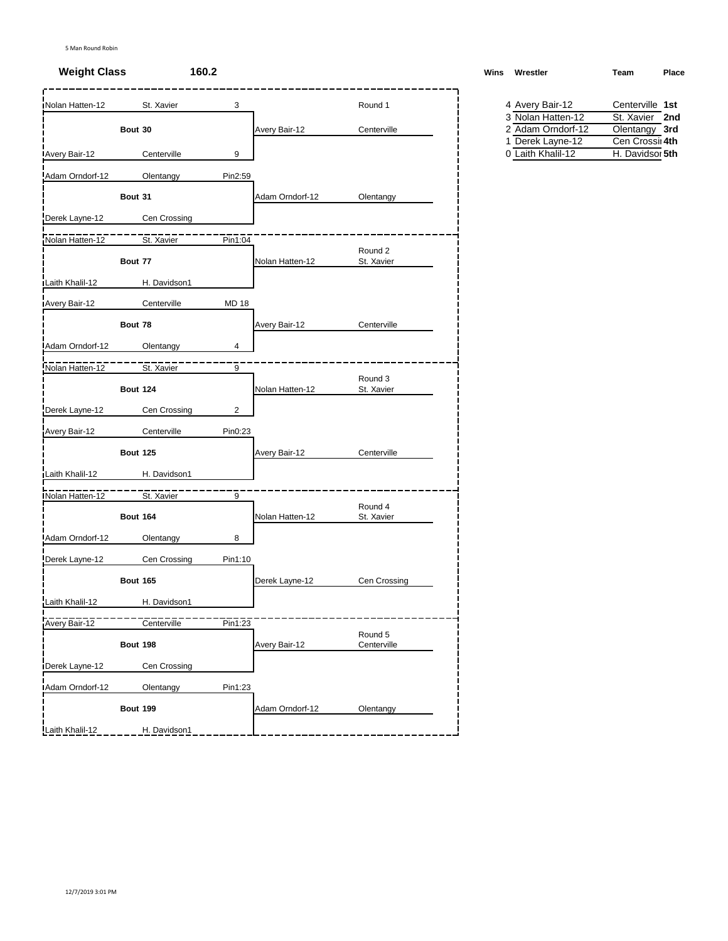# **Weight Class 160.2 Wins Wrestler Team Place**

| Nolan Hatten-12      | St. Xavier      | 3              |                      | Round 1                | 4 Avery Bair-12                       | Centerville 1st                    |
|----------------------|-----------------|----------------|----------------------|------------------------|---------------------------------------|------------------------------------|
|                      |                 |                |                      |                        | 3 Nolan Hatten-12                     | St. Xavier 2nd                     |
|                      | Bout 30         |                | Avery Bair-12        | Centerville            | 2 Adam Orndorf-12                     | Olentangy 3rd                      |
| <b>Avery Bair-12</b> | Centerville     | 9              |                      |                        | 1 Derek Layne-12<br>0 Laith Khalil-12 | Cen Crossii 4th<br>H. Davidsor 5th |
| Adam Orndorf-12      | Olentangy       | Pin2:59        |                      |                        |                                       |                                    |
|                      | Bout 31         |                | Adam Orndorf-12      | Olentangy              |                                       |                                    |
| Derek Layne-12       | Cen Crossing    |                |                      |                        |                                       |                                    |
| Nolan Hatten-12      | St. Xavier      | Pin1:04        |                      |                        |                                       |                                    |
|                      | Bout 77         |                | Nolan Hatten-12      | Round 2<br>St. Xavier  |                                       |                                    |
| Laith Khalil-12      | H. Davidson1    |                |                      |                        |                                       |                                    |
| Avery Bair-12        | Centerville     | <b>MD 18</b>   |                      |                        |                                       |                                    |
|                      |                 |                |                      |                        |                                       |                                    |
|                      | Bout 78         |                | <b>Avery Bair-12</b> | Centerville            |                                       |                                    |
| Adam Orndorf-12      | Olentangy       | 4              |                      |                        |                                       |                                    |
| Nolan Hatten-12      | St. Xavier      | 9              |                      |                        |                                       |                                    |
|                      | <b>Bout 124</b> |                | Nolan Hatten-12      | Round 3<br>St. Xavier  |                                       |                                    |
| Derek Layne-12       | Cen Crossing    | $\overline{c}$ |                      |                        |                                       |                                    |
| Avery Bair-12        | Centerville     | Pin0:23        |                      |                        |                                       |                                    |
|                      | <b>Bout 125</b> |                | <b>Avery Bair-12</b> | Centerville            |                                       |                                    |
| Laith Khalil-12      | H. Davidson1    |                |                      |                        |                                       |                                    |
| Nolan Hatten-12      | St. Xavier      | 9              |                      |                        |                                       |                                    |
|                      | <b>Bout 164</b> |                | Nolan Hatten-12      | Round 4<br>St. Xavier  |                                       |                                    |
| Adam Orndorf-12      | Olentangy       | 8              |                      |                        |                                       |                                    |
| Derek Layne-12       | Cen Crossing    | Pin1:10        |                      |                        |                                       |                                    |
|                      | <b>Bout 165</b> |                | Derek Layne-12       | Cen Crossing           |                                       |                                    |
| Laith Khalil-12      | H. Davidson1    |                |                      |                        |                                       |                                    |
| Avery Bair-12        | Centerville     | Pin1:23        |                      |                        |                                       |                                    |
|                      | Bout 198        |                | Avery Bair-12        | Round 5<br>Centerville |                                       |                                    |
| Derek Layne-12       | Cen Crossing    |                |                      |                        |                                       |                                    |
| Adam Orndorf-12      | Olentangy       | Pin1:23        |                      |                        |                                       |                                    |
|                      | <b>Bout 199</b> |                | Adam Orndorf-12      | Olentangy              |                                       |                                    |
| Laith Khalil-12      | H. Davidson1    |                |                      |                        |                                       |                                    |
|                      |                 |                |                      |                        |                                       |                                    |

| Vins | Wrestler | Team | Place |
|------|----------|------|-------|
|      |          |      |       |

| 4 Avery Bair-12   | Centerville 1st |  |
|-------------------|-----------------|--|
| 3 Nolan Hatten-12 | St. Xavier 2nd  |  |
| 2 Adam Orndorf-12 | Olentangy 3rd   |  |
| 1 Derek Layne-12  | Cen Crossi 4th  |  |
| 0 Laith Khalil-12 | H. Davidsor 5th |  |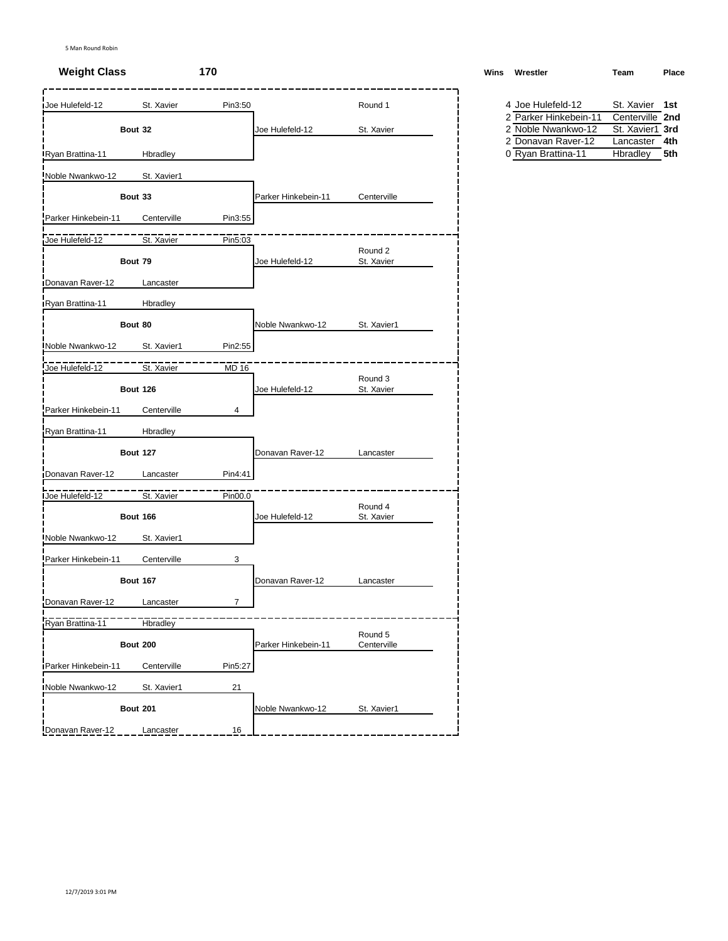# **Weight Class 170 Wins Wrestler Team Place**

| <b>Joe Hulefeld-12</b> | St. Xavier      | Pin3:50        |                     | Round 1                | 4 Joe Hulefeld-12     | St. Xavier 1st  |
|------------------------|-----------------|----------------|---------------------|------------------------|-----------------------|-----------------|
|                        |                 |                |                     |                        | 2 Parker Hinkebein-11 | Centerville 2nd |
|                        | Bout 32         |                | Joe Hulefeld-12     | St. Xavier             | 2 Noble Nwankwo-12    | St. Xavier1 3rd |
|                        |                 |                |                     |                        | 2 Donavan Raver-12    | Lancaster 4th   |
| Ryan Brattina-11       | Hbradley        |                |                     |                        | 0 Ryan Brattina-11    | Hbradley        |
| Noble Nwankwo-12       | St. Xavier1     |                |                     |                        |                       |                 |
|                        | Bout 33         |                | Parker Hinkebein-11 | Centerville            |                       |                 |
| Parker Hinkebein-11    | Centerville     | Pin3:55        |                     |                        |                       |                 |
| Joe Hulefeld-12        | St. Xavier      | Pin5:03        |                     |                        |                       |                 |
|                        | Bout 79         |                | Joe Hulefeld-12     | Round 2<br>St. Xavier  |                       |                 |
| Donavan Raver-12       | Lancaster       |                |                     |                        |                       |                 |
| Ryan Brattina-11       | Hbradley        |                |                     |                        |                       |                 |
|                        | Bout 80         |                | Noble Nwankwo-12    | St. Xavier1            |                       |                 |
| Noble Nwankwo-12       | St. Xavier1     | Pin2:55        |                     |                        |                       |                 |
| Joe Hulefeld-12        | St. Xavier      | <b>MD 16</b>   |                     |                        |                       |                 |
|                        | <b>Bout 126</b> |                | Joe Hulefeld-12     | Round 3<br>St. Xavier  |                       |                 |
| Parker Hinkebein-11    | Centerville     | 4              |                     |                        |                       |                 |
| Ryan Brattina-11       | Hbradley        |                |                     |                        |                       |                 |
|                        | <b>Bout 127</b> |                | Donavan Raver-12    | Lancaster              |                       |                 |
| Donavan Raver-12       | Lancaster       | Pin4:41        |                     |                        |                       |                 |
| Joe Hulefeld-12        | St. Xavier      | Pin00.0        |                     |                        |                       |                 |
|                        | <b>Bout 166</b> |                | Joe Hulefeld-12     | Round 4<br>St. Xavier  |                       |                 |
| Noble Nwankwo-12       | St. Xavier1     |                |                     |                        |                       |                 |
| Parker Hinkebein-11    | Centerville     | 3              |                     |                        |                       |                 |
|                        | <b>Bout 167</b> |                | Donavan Raver-12    | Lancaster              |                       |                 |
| Donavan Raver-12       | Lancaster       | $\overline{7}$ |                     |                        |                       |                 |
| Ryan Brattina-11       | Hbradley        |                |                     |                        |                       |                 |
|                        | <b>Bout 200</b> |                | Parker Hinkebein-11 | Round 5<br>Centerville |                       |                 |
| Parker Hinkebein-11    | Centerville     | Pin5:27        |                     |                        |                       |                 |
| Noble Nwankwo-12       | St. Xavier1     | 21             |                     |                        |                       |                 |
|                        | <b>Bout 201</b> |                | Noble Nwankwo-12    | St. Xavier1            |                       |                 |
| Donavan Raver-12       | Lancaster       | 16             |                     |                        |                       |                 |

| 4 Joe Hulefeld-12     | St. Xavier 1st  |  |
|-----------------------|-----------------|--|
| 2 Parker Hinkebein-11 | Centerville 2nd |  |
| 2 Noble Nwankwo-12    | St. Xavier1 3rd |  |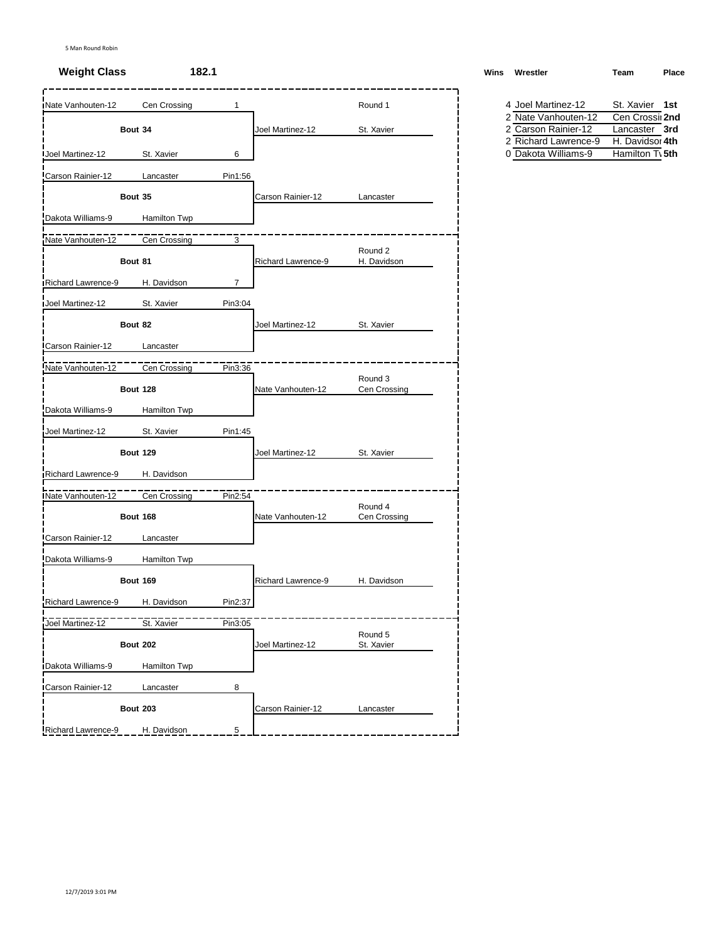# **Weight Class 182.1 Weight Class W**

| <b>INate Vanhouten-12</b> | Cen Crossing    | 1       |                    | Round 1                 | 4 Joel Martinez-12                          | St. Xavier 1st                   |
|---------------------------|-----------------|---------|--------------------|-------------------------|---------------------------------------------|----------------------------------|
|                           |                 |         |                    |                         | 2 Nate Vanhouten-12                         | Cen Crossil 2nd                  |
|                           | Bout 34         |         | Joel Martinez-12   | St. Xavier              | 2 Carson Rainier-12<br>2 Richard Lawrence-9 | Lancaster 3rd<br>H. Davidsor 4th |
| <b>Joel Martinez-12</b>   | St. Xavier      | 6       |                    |                         | 0 Dakota Williams-9                         | Hamilton T\ 5th                  |
| Carson Rainier-12         | Lancaster       | Pin1:56 |                    |                         |                                             |                                  |
|                           | Bout 35         |         | Carson Rainier-12  | Lancaster               |                                             |                                  |
| Dakota Williams-9         | Hamilton Twp    |         |                    |                         |                                             |                                  |
| Nate Vanhouten-12         | Cen Crossing    | 3       |                    |                         |                                             |                                  |
|                           | Bout 81         |         | Richard Lawrence-9 | Round 2<br>H. Davidson  |                                             |                                  |
| Richard Lawrence-9        | H. Davidson     | 7       |                    |                         |                                             |                                  |
| Joel Martinez-12          | St. Xavier      | Pin3:04 |                    |                         |                                             |                                  |
|                           | Bout 82         |         | Joel Martinez-12   | St. Xavier              |                                             |                                  |
| Carson Rainier-12         | Lancaster       |         |                    |                         |                                             |                                  |
| Nate Vanhouten-12         | Cen Crossing    | Pin3:36 |                    |                         |                                             |                                  |
|                           | <b>Bout 128</b> |         | Nate Vanhouten-12  | Round 3<br>Cen Crossing |                                             |                                  |
| Dakota Williams-9         | Hamilton Twp    |         |                    |                         |                                             |                                  |
| Joel Martinez-12          | St. Xavier      | Pin1:45 |                    |                         |                                             |                                  |
|                           | <b>Bout 129</b> |         | Joel Martinez-12   | St. Xavier              |                                             |                                  |
| Richard Lawrence-9        | H. Davidson     |         |                    |                         |                                             |                                  |
| Nate Vanhouten-12         | Cen Crossing    | Pin2:54 |                    |                         |                                             |                                  |
|                           | <b>Bout 168</b> |         | Nate Vanhouten-12  | Round 4<br>Cen Crossing |                                             |                                  |
| Carson Rainier-12         | Lancaster       |         |                    |                         |                                             |                                  |
| Dakota Williams-9         | Hamilton Twp    |         |                    |                         |                                             |                                  |
|                           | <b>Bout 169</b> |         | Richard Lawrence-9 | H. Davidson             |                                             |                                  |
| Richard Lawrence-9        | H. Davidson     | Pin2:37 |                    |                         |                                             |                                  |
| Joel Martinez-12          | St. Xavier      | Pin3:05 |                    |                         |                                             |                                  |
|                           | <b>Bout 202</b> |         | Joel Martinez-12   | Round 5<br>St. Xavier   |                                             |                                  |
| Dakota Williams-9         | Hamilton Twp    |         |                    |                         |                                             |                                  |
| <b>ICarson Rainier-12</b> | Lancaster       | 8       |                    |                         |                                             |                                  |
|                           | <b>Bout 203</b> |         | Carson Rainier-12  | Lancaster               |                                             |                                  |
| Richard Lawrence-9        | H. Davidson     | 5       |                    |                         |                                             |                                  |

| Vins Wrestler | Team | Place |
|---------------|------|-------|
|               |      |       |

| 4 Joel Martinez-12   | St. Xavier 1st              |  |
|----------------------|-----------------------------|--|
| 2 Nate Vanhouten-12  | Cen Crossil 2nd             |  |
| 2 Carson Rainier-12  | Lancaster 3rd               |  |
| 2 Richard Lawrence-9 | H. Davidsor 4th             |  |
| 0 Dakota Williams-9  | Hamilton T <sub>1</sub> 5th |  |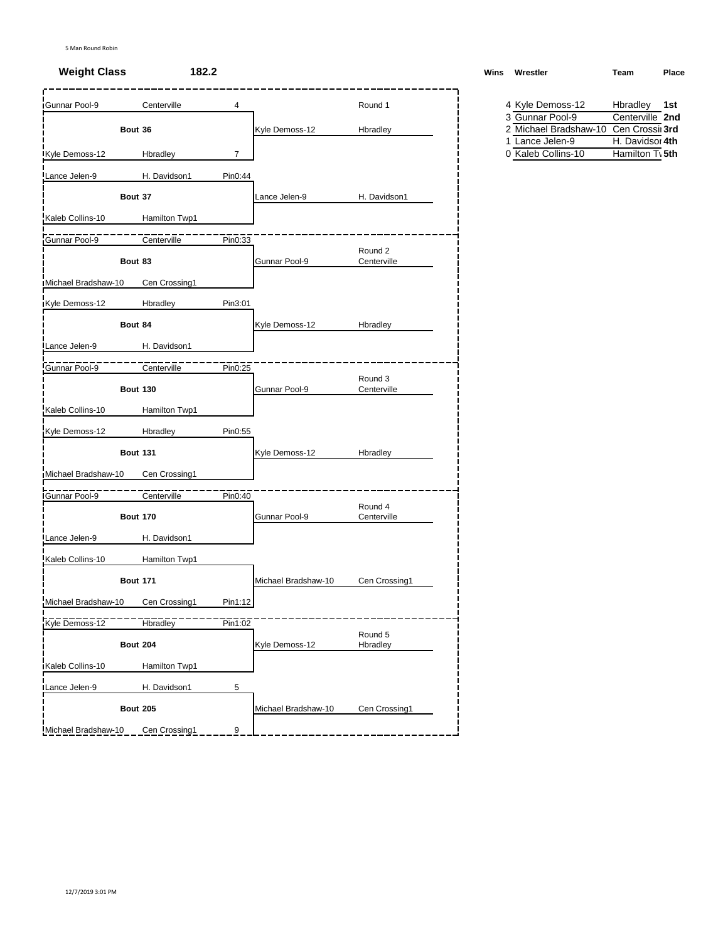| Gunnar Pool-9       | Centerville     | 4              |                     | Round 1                | 4 Kyle Demoss-12                                        | Hbradley 1st    |
|---------------------|-----------------|----------------|---------------------|------------------------|---------------------------------------------------------|-----------------|
|                     |                 |                |                     |                        | 3 Gunnar Pool-9                                         | Centerville 2nd |
|                     | Bout 36         |                | Kyle Demoss-12      | Hbradley               | 2 Michael Bradshaw-10 Cen Crossi 3rd<br>1 Lance Jelen-9 | H. Davidsor 4th |
| Kyle Demoss-12      | Hbradley        | $\overline{7}$ |                     |                        | 0 Kaleb Collins-10                                      | Hamilton Tv 5th |
| Lance Jelen-9       | H. Davidson1    | Pin0:44        |                     |                        |                                                         |                 |
|                     | Bout 37         |                | Lance Jelen-9       | H. Davidson1           |                                                         |                 |
| Kaleb Collins-10    | Hamilton Twp1   |                |                     |                        |                                                         |                 |
| Gunnar Pool-9       | Centerville     | Pin0:33        |                     |                        |                                                         |                 |
|                     | Bout 83         |                | Gunnar Pool-9       | Round 2<br>Centerville |                                                         |                 |
| Michael Bradshaw-10 | Cen Crossing1   |                |                     |                        |                                                         |                 |
| Kyle Demoss-12      | Hbradley        | Pin3:01        |                     |                        |                                                         |                 |
|                     | Bout 84         |                | Kyle Demoss-12      | Hbradley               |                                                         |                 |
| Lance Jelen-9       | H. Davidson1    |                |                     |                        |                                                         |                 |
| Gunnar Pool-9       | Centerville     | Pin0:25        |                     |                        |                                                         |                 |
|                     | <b>Bout 130</b> |                | Gunnar Pool-9       | Round 3<br>Centerville |                                                         |                 |
| Kaleb Collins-10    | Hamilton Twp1   |                |                     |                        |                                                         |                 |
| Kyle Demoss-12      | Hbradley        | Pin0:55        |                     |                        |                                                         |                 |
|                     | <b>Bout 131</b> |                | Kyle Demoss-12      | Hbradley               |                                                         |                 |
| Michael Bradshaw-10 | Cen Crossing1   |                |                     |                        |                                                         |                 |
| Gunnar Pool-9       | Centerville     | Pin0:40        |                     | Round 4                |                                                         |                 |
|                     | <b>Bout 170</b> |                | Gunnar Pool-9       | Centerville            |                                                         |                 |
| Lance Jelen-9       | H. Davidson1    |                |                     |                        |                                                         |                 |
| Kaleb Collins-10    | Hamilton Twp1   |                |                     |                        |                                                         |                 |
|                     | <b>Bout 171</b> |                | Michael Bradshaw-10 | Cen Crossing1          |                                                         |                 |
| Michael Bradshaw-10 | Cen Crossing1   | Pin1:12        |                     |                        |                                                         |                 |
| Kyle Demoss-12      | Hbradley        | Pin1:02        |                     |                        |                                                         |                 |
|                     | <b>Bout 204</b> |                | Kyle Demoss-12      | Round 5<br>Hbradley    |                                                         |                 |
| Kaleb Collins-10    | Hamilton Twp1   |                |                     |                        |                                                         |                 |
| Lance Jelen-9       | H. Davidson1    | 5              |                     |                        |                                                         |                 |
|                     | <b>Bout 205</b> |                | Michael Bradshaw-10 | Cen Crossing1          |                                                         |                 |
| Michael Bradshaw-10 | Cen Crossing1   | 9              |                     |                        |                                                         |                 |

**Weight Class 182.2 Wins Wrestler Team Place**

| 4 Kyle Demoss-12                      | Hbradley 1st                |  |
|---------------------------------------|-----------------------------|--|
| 3 Gunnar Pool-9                       | Centerville 2nd             |  |
| 2 Michael Bradshaw-10 Cen Crossil 3rd |                             |  |
| 1 Lance Jelen-9                       | H. Davidsor 4th             |  |
| 0 Kaleh Collins-10                    | Hamilton T <sub>1</sub> 5th |  |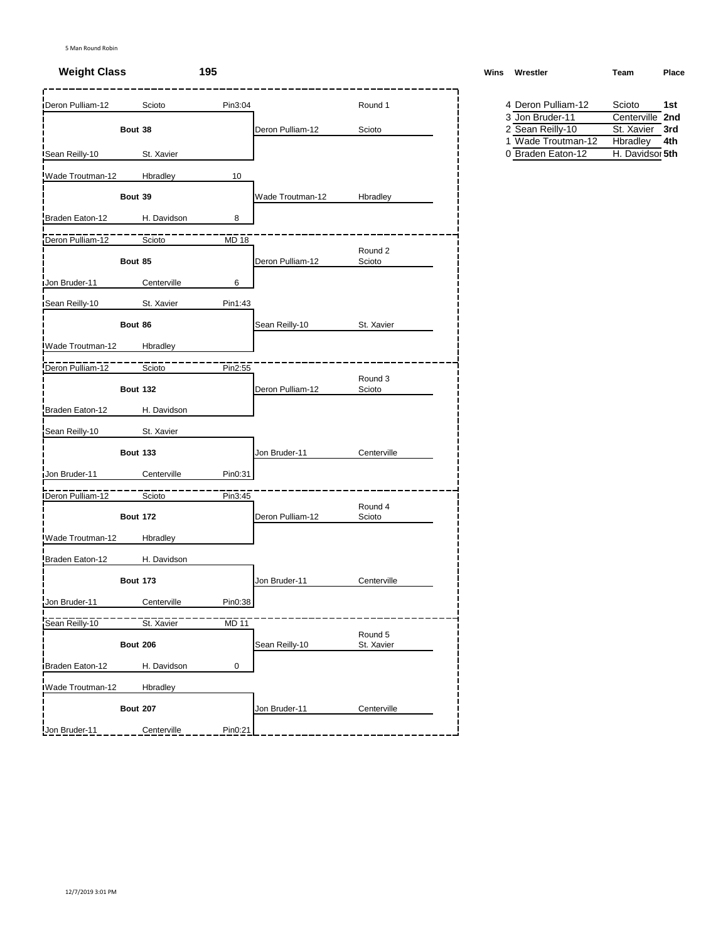| <b>IDeron Pulliam-12</b> | Scioto          | Pin3:04      |                  | Round 1               | 4 Deron Pulliam-12                      | Scioto<br>1st                      |
|--------------------------|-----------------|--------------|------------------|-----------------------|-----------------------------------------|------------------------------------|
|                          |                 |              |                  |                       | 3 Jon Bruder-11                         | Centerville 2nd                    |
|                          | Bout 38         |              | Deron Pulliam-12 | Scioto                | 2 Sean Reilly-10                        | St. Xavier<br>3rd                  |
|                          |                 |              |                  |                       | 1 Wade Troutman-12<br>0 Braden Eaton-12 | Hbradley<br>4th<br>H. Davidsor 5th |
| Sean Reilly-10           | St. Xavier      |              |                  |                       |                                         |                                    |
| Wade Troutman-12         | Hbradley        | 10           |                  |                       |                                         |                                    |
|                          | Bout 39         |              | Wade Troutman-12 | Hbradley              |                                         |                                    |
| Braden Eaton-12          | H. Davidson     | 8            |                  |                       |                                         |                                    |
| Deron Pulliam-12         | Scioto          | <b>MD 18</b> |                  |                       |                                         |                                    |
|                          | Bout 85         |              | Deron Pulliam-12 | Round 2<br>Scioto     |                                         |                                    |
| Jon Bruder-11            | Centerville     | 6            |                  |                       |                                         |                                    |
|                          |                 |              |                  |                       |                                         |                                    |
| Sean Reilly-10           | St. Xavier      | Pin1:43      |                  |                       |                                         |                                    |
|                          | Bout 86         |              | Sean Reilly-10   | St. Xavier            |                                         |                                    |
| Wade Troutman-12         | Hbradley        |              |                  |                       |                                         |                                    |
| Deron Pulliam-12         | Scioto          | Pin2:55      |                  |                       |                                         |                                    |
|                          | <b>Bout 132</b> |              | Deron Pulliam-12 | Round 3<br>Scioto     |                                         |                                    |
| Braden Eaton-12          | H. Davidson     |              |                  |                       |                                         |                                    |
| Sean Reilly-10           | St. Xavier      |              |                  |                       |                                         |                                    |
|                          | <b>Bout 133</b> |              | Jon Bruder-11    | Centerville           |                                         |                                    |
| Jon Bruder-11            | Centerville     | Pin0:31      |                  |                       |                                         |                                    |
| Deron Pulliam-12         | Scioto          | Pin3:45      |                  |                       |                                         |                                    |
|                          | <b>Bout 172</b> |              | Deron Pulliam-12 | Round 4<br>Scioto     |                                         |                                    |
| Wade Troutman-12         | Hbradley        |              |                  |                       |                                         |                                    |
| Braden Eaton-12          | H. Davidson     |              |                  |                       |                                         |                                    |
|                          | <b>Bout 173</b> |              | Jon Bruder-11    | Centerville           |                                         |                                    |
| Jon Bruder-11            | Centerville     | Pin0:38      |                  |                       |                                         |                                    |
| Sean Reilly-10           | St. Xavier      | <b>MD 11</b> |                  |                       |                                         |                                    |
|                          | <b>Bout 206</b> |              | Sean Reilly-10   | Round 5<br>St. Xavier |                                         |                                    |
| Braden Eaton-12          | H. Davidson     | 0            |                  |                       |                                         |                                    |
| Wade Troutman-12         | Hbradley        |              |                  |                       |                                         |                                    |
|                          | <b>Bout 207</b> |              | Jon Bruder-11    | Centerville           |                                         |                                    |
| Jon Bruder-11            | Centerville     | Pin0:21      |                  |                       |                                         |                                    |

**Weight Class 195 Wins Wrestler Team Place**

| 4 Deron Pulliam-12 | Scioto          | 1st |
|--------------------|-----------------|-----|
| 3 Jon Bruder-11    | Centerville 2nd |     |
| 2 Sean Reilly-10   | St. Xavier 3rd  |     |
| 1 Wade Troutman-12 | Hbradley        | 4th |
| 0 Braden Eaton-12  | H. Davidsor 5th |     |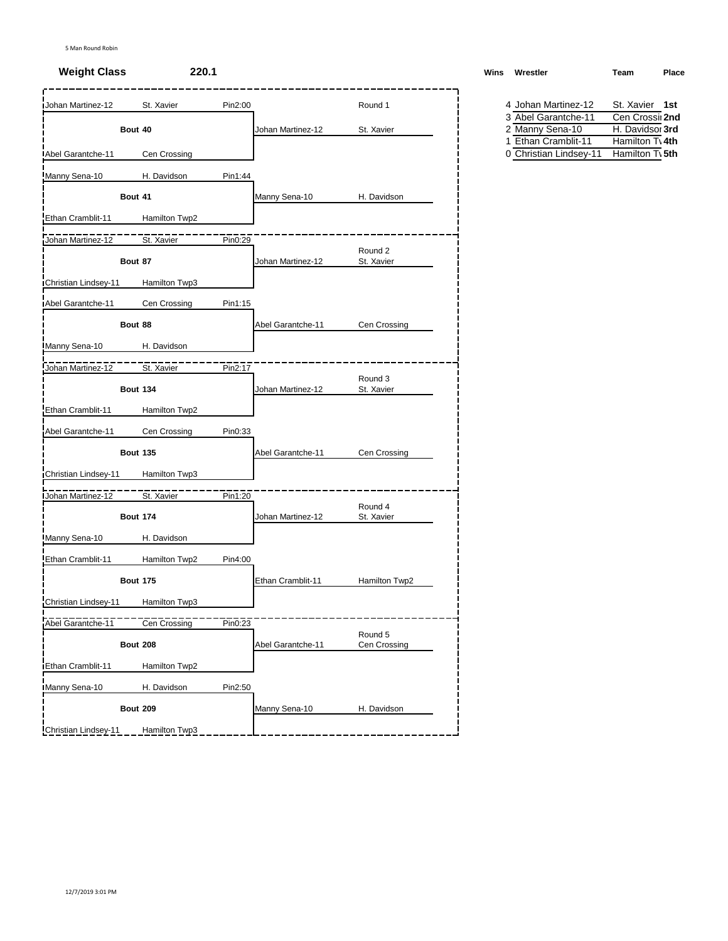| St. Xavier      | Pin2:00                               |                   | Round 1                                |            | St. Xavier 1st                                                                                                 |
|-----------------|---------------------------------------|-------------------|----------------------------------------|------------|----------------------------------------------------------------------------------------------------------------|
|                 |                                       |                   |                                        |            | Cen Crossi 2nd<br>H. Davidsor 3rd                                                                              |
|                 |                                       |                   |                                        |            | Hamilton Tv 4th                                                                                                |
| Cen Crossing    |                                       |                   |                                        |            | Hamilton T\ 5th                                                                                                |
| H. Davidson     | Pin1:44                               |                   |                                        |            |                                                                                                                |
| Bout 41         |                                       | Manny Sena-10     | H. Davidson                            |            |                                                                                                                |
| Hamilton Twp2   |                                       |                   |                                        |            |                                                                                                                |
| St. Xavier      | Pin0:29                               |                   |                                        |            |                                                                                                                |
| Bout 87         |                                       | Johan Martinez-12 | Round 2<br>St. Xavier                  |            |                                                                                                                |
| Hamilton Twp3   |                                       |                   |                                        |            |                                                                                                                |
| Cen Crossing    | Pin1:15                               |                   |                                        |            |                                                                                                                |
| Bout 88         |                                       | Abel Garantche-11 | Cen Crossing                           |            |                                                                                                                |
| H. Davidson     |                                       |                   |                                        |            |                                                                                                                |
| St. Xavier      | Pin2:17                               |                   |                                        |            |                                                                                                                |
| <b>Bout 134</b> |                                       | Johan Martinez-12 | Round 3<br>St. Xavier                  |            |                                                                                                                |
| Hamilton Twp2   |                                       |                   |                                        |            |                                                                                                                |
| Cen Crossing    | Pin0:33                               |                   |                                        |            |                                                                                                                |
| <b>Bout 135</b> |                                       | Abel Garantche-11 | Cen Crossing                           |            |                                                                                                                |
| Hamilton Twp3   |                                       |                   |                                        |            |                                                                                                                |
|                 |                                       |                   |                                        |            |                                                                                                                |
| <b>Bout 174</b> |                                       | Johan Martinez-12 | Round 4<br>St. Xavier                  |            |                                                                                                                |
| H. Davidson     |                                       |                   |                                        |            |                                                                                                                |
| Hamilton Twp2   | Pin4:00                               |                   |                                        |            |                                                                                                                |
| <b>Bout 175</b> |                                       | Ethan Cramblit-11 | Hamilton Twp2                          |            |                                                                                                                |
| Hamilton Twp3   |                                       |                   |                                        |            |                                                                                                                |
|                 | Pin0:23                               |                   |                                        |            |                                                                                                                |
| <b>Bout 208</b> |                                       |                   | Round 5<br>Cen Crossing                |            |                                                                                                                |
| Hamilton Twp2   |                                       |                   |                                        |            |                                                                                                                |
| H. Davidson     | Pin2:50                               |                   |                                        |            |                                                                                                                |
| <b>Bout 209</b> |                                       | Manny Sena-10     | H. Davidson                            |            |                                                                                                                |
| Hamilton Twp3   |                                       |                   |                                        |            |                                                                                                                |
|                 | Bout 40<br>St. Xavier<br>Cen Crossing | Pin1:20           | Johan Martinez-12<br>Abel Garantche-11 | St. Xavier | 4 Johan Martinez-12<br>3 Abel Garantche-11<br>2 Manny Sena-10<br>1 Ethan Cramblit-11<br>0 Christian Lindsey-11 |

| <b>Weight Class</b><br>220.1<br>______ | Wins | Team<br>Wrestler | Place |
|----------------------------------------|------|------------------|-------|
|----------------------------------------|------|------------------|-------|

| 4 Johan Martinez-12    | St. Xavier 1st              |  |
|------------------------|-----------------------------|--|
| 3 Abel Garantche-11    | Cen Crossil 2nd             |  |
| 2 Manny Sena-10        | H. Davidsor 3rd             |  |
| 1 Ethan Cramblit-11    | Hamilton T <sub>1</sub> 4th |  |
| 0 Christian Lindsey-11 | Hamilton T <sub>1</sub> 5th |  |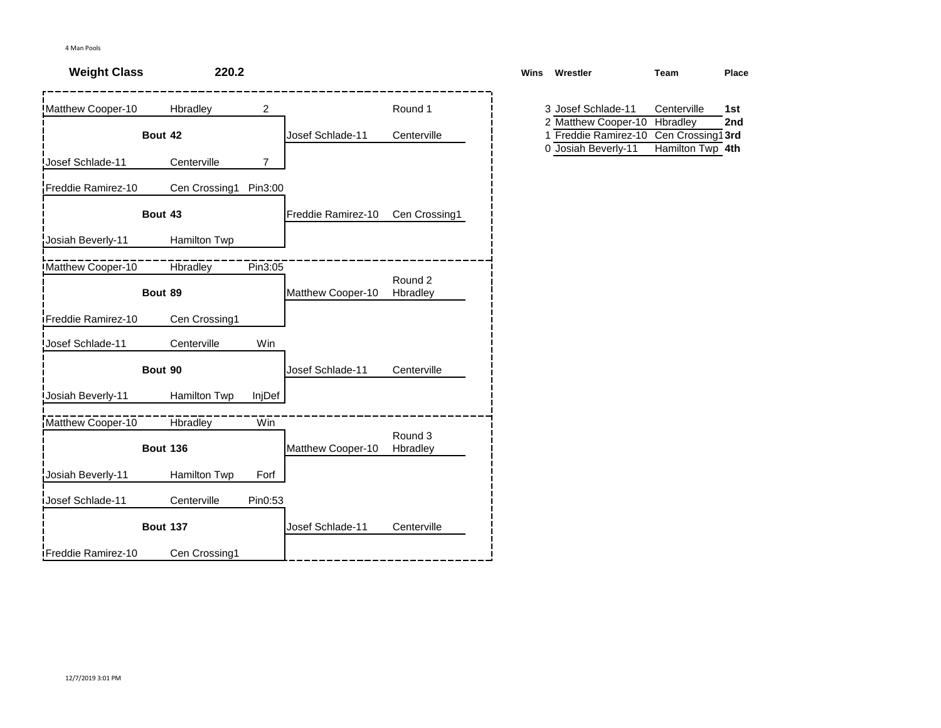| <b>Weight Class</b>        | 220.2           |                |                    |                     | <b>Wins</b> | Wrestler                                    | Team                    | Place      |
|----------------------------|-----------------|----------------|--------------------|---------------------|-------------|---------------------------------------------|-------------------------|------------|
| Matthew Cooper-10          | Hbradley        | 2              |                    | Round 1             |             | 3 Josef Schlade-11<br>2 Matthew Cooper-10   | Centerville<br>Hbradley | 1st<br>2nd |
|                            | Bout 42         |                | Josef Schlade-11   | Centerville         |             | 1 Freddie Ramirez-10<br>0 Josiah Beverly-11 | Cen Crossing1 3rd       |            |
| Josef Schlade-11           | Centerville     | $\overline{7}$ |                    |                     |             |                                             | Hamilton Twp 4th        |            |
| Freddie Ramirez-10         | Cen Crossing1   | Pin3:00        |                    |                     |             |                                             |                         |            |
|                            | Bout 43         |                | Freddie Ramirez-10 | Cen Crossing1       |             |                                             |                         |            |
| Josiah Beverly-11          | Hamilton Twp    |                |                    |                     |             |                                             |                         |            |
| Matthew Cooper-10          | Hbradley        | Pin3:05        |                    |                     |             |                                             |                         |            |
|                            | Bout 89         |                | Matthew Cooper-10  | Round 2<br>Hbradley |             |                                             |                         |            |
| <b>IFreddie Ramirez-10</b> | Cen Crossing1   |                |                    |                     |             |                                             |                         |            |
| Josef Schlade-11           | Centerville     | Win            |                    |                     |             |                                             |                         |            |
|                            | Bout 90         |                | Josef Schlade-11   | Centerville         |             |                                             |                         |            |
| <b>Josiah Beverly-11</b>   | Hamilton Twp    | InjDef         |                    |                     |             |                                             |                         |            |
| Matthew Cooper-10          | <b>Hbradley</b> | Win            |                    |                     |             |                                             |                         |            |
|                            | <b>Bout 136</b> |                | Matthew Cooper-10  | Round 3<br>Hbradley |             |                                             |                         |            |
| Josiah Beverly-11          | Hamilton Twp    | Forf           |                    |                     |             |                                             |                         |            |
| <b>Josef Schlade-11</b>    | Centerville     | Pin0:53        |                    |                     |             |                                             |                         |            |
|                            | <b>Bout 137</b> |                | Josef Schlade-11   | Centerville         |             |                                             |                         |            |
| iFreddie Ramirez-10        | Cen Crossing1   |                |                    |                     |             |                                             |                         |            |

| ns | Wrestler             | Team             | Place |
|----|----------------------|------------------|-------|
|    |                      |                  |       |
|    | 3 Josef Schlade-11   | Centerville      | 1st   |
|    | 2 Matthew Cooper-10  | Hbradley         | 2nd   |
|    | 1 Freddie Ramirez-10 | Cen Crossing13rd |       |
|    | 0 Josiah Beverly-11  | Hamilton Twp 4th |       |
|    |                      |                  |       |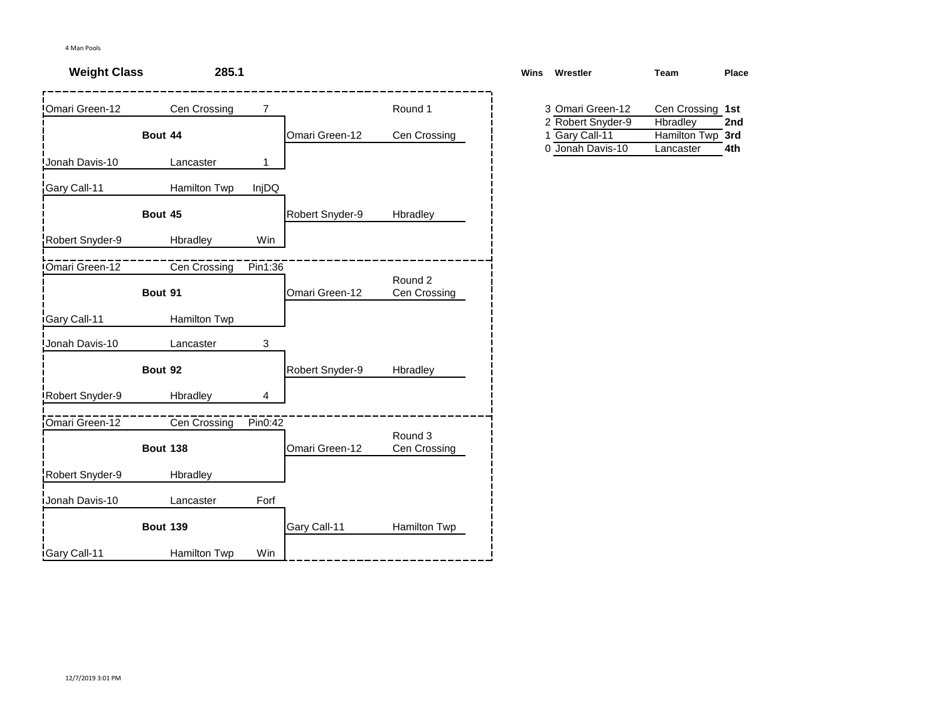| <b>Weight Class</b>    | 285.1           |         |                 |                         | Wins | Wrestler                              | Team                         | Place |
|------------------------|-----------------|---------|-----------------|-------------------------|------|---------------------------------------|------------------------------|-------|
| Omari Green-12         | Cen Crossing    | 7       |                 | Round 1                 |      | 3 Omari Green-12<br>2 Robert Snyder-9 | Cen Crossing 1st<br>Hbradley | 2nd   |
|                        | Bout 44         |         | Omari Green-12  | Cen Crossing            |      | 1 Gary Call-11<br>0 Jonah Davis-10    | <b>Hamilton Twp</b>          | 3rd   |
| Jonah Davis-10         | Lancaster       | 1       |                 |                         |      |                                       | Lancaster                    | 4th   |
| Gary Call-11           | Hamilton Twp    | InjDQ   |                 |                         |      |                                       |                              |       |
|                        | Bout 45         |         | Robert Snyder-9 | Hbradley                |      |                                       |                              |       |
| Robert Snyder-9        | Hbradley        | Win     |                 |                         |      |                                       |                              |       |
| <b>IOmari Green-12</b> | Cen Crossing    | Pin1:36 |                 |                         |      |                                       |                              |       |
|                        | Bout 91         |         | Omari Green-12  | Round 2<br>Cen Crossing |      |                                       |                              |       |
| Gary Call-11           | Hamilton Twp    |         |                 |                         |      |                                       |                              |       |
| Jonah Davis-10         | Lancaster       | 3       |                 |                         |      |                                       |                              |       |
|                        | Bout 92         |         | Robert Snyder-9 | Hbradley                |      |                                       |                              |       |
| Robert Snyder-9        | Hbradley        | 4       |                 |                         |      |                                       |                              |       |
| Omari Green-12         | Cen Crossing    | Pin0:42 |                 |                         |      |                                       |                              |       |
|                        | <b>Bout 138</b> |         | Omari Green-12  | Round 3<br>Cen Crossing |      |                                       |                              |       |
| Robert Snyder-9        | Hbradley        |         |                 |                         |      |                                       |                              |       |
| Jonah Davis-10         | Lancaster       | Forf    |                 |                         |      |                                       |                              |       |
|                        | <b>Bout 139</b> |         | Gary Call-11    | Hamilton Twp            |      |                                       |                              |       |
| <b>Gary Call-11</b>    | Hamilton Twp    | Win     |                 |                         |      |                                       |                              |       |

| ns | Wrestler          | Team             | Place |
|----|-------------------|------------------|-------|
|    |                   |                  |       |
|    | 3 Omari Green-12  | Cen Crossing 1st |       |
|    | 2 Robert Snyder-9 | Hbradley         | 2nd   |
|    | 1 Gary Call-11    | Hamilton Twp 3rd |       |
|    | 0 Jonah Davis-10  | Lancaster        | 4th   |
|    |                   |                  |       |